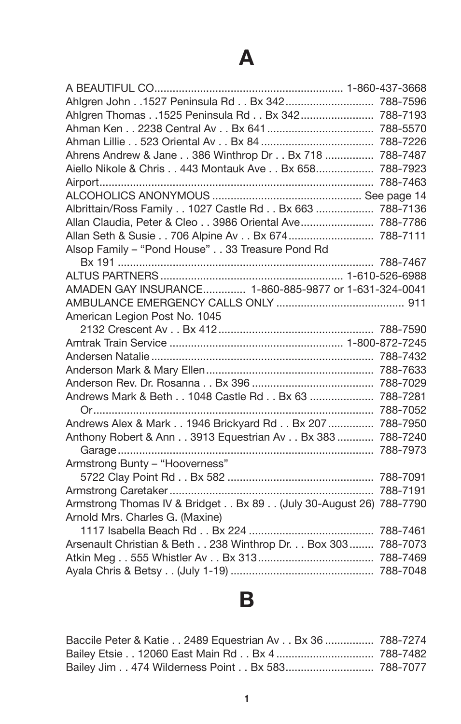| Ahlgren John 1527 Peninsula Rd Bx 342 788-7596                   |          |
|------------------------------------------------------------------|----------|
| Ahlgren Thomas 1525 Peninsula Rd Bx 342 788-7193                 |          |
|                                                                  |          |
|                                                                  |          |
| Ahrens Andrew & Jane 386 Winthrop Dr Bx 718  788-7487            |          |
| Aiello Nikole & Chris 443 Montauk Ave Bx 658 788-7923            |          |
|                                                                  | 788-7463 |
|                                                                  |          |
| Albrittain/Ross Family 1027 Castle Rd Bx 663  788-7136           |          |
| Allan Claudia, Peter & Cleo 3986 Oriental Ave 788-7786           |          |
| Allan Seth & Susie 706 Alpine Av Bx 674 788-7111                 |          |
| Alsop Family - "Pond House" 33 Treasure Pond Rd                  |          |
|                                                                  |          |
|                                                                  |          |
| AMADEN GAY INSURANCE 1-860-885-9877 or 1-631-324-0041            |          |
|                                                                  |          |
| American Legion Post No. 1045                                    |          |
|                                                                  |          |
|                                                                  |          |
|                                                                  |          |
|                                                                  |          |
|                                                                  |          |
| Andrews Mark & Beth 1048 Castle Rd Bx 63  788-7281               |          |
|                                                                  |          |
| Andrews Alex & Mark 1946 Brickyard Rd Bx 207  788-7950           |          |
| Anthony Robert & Ann 3913 Equestrian Av Bx 383  788-7240         |          |
|                                                                  |          |
| Armstrong Bunty - "Hooverness"                                   |          |
|                                                                  |          |
|                                                                  |          |
| Armstrong Thomas IV & Bridget Bx 89 (July 30-August 26) 788-7790 |          |
| Arnold Mrs. Charles G. (Maxine)                                  |          |
|                                                                  |          |
| Arsenault Christian & Beth 238 Winthrop Dr. Box 303 788-7073     |          |
|                                                                  |          |
|                                                                  |          |
|                                                                  |          |

# **B**

| Baccile Peter & Katie 2489 Equestrian Av Bx 36  788-7274 |  |
|----------------------------------------------------------|--|
|                                                          |  |
| Bailey Jim 474 Wilderness Point Bx 583 788-7077          |  |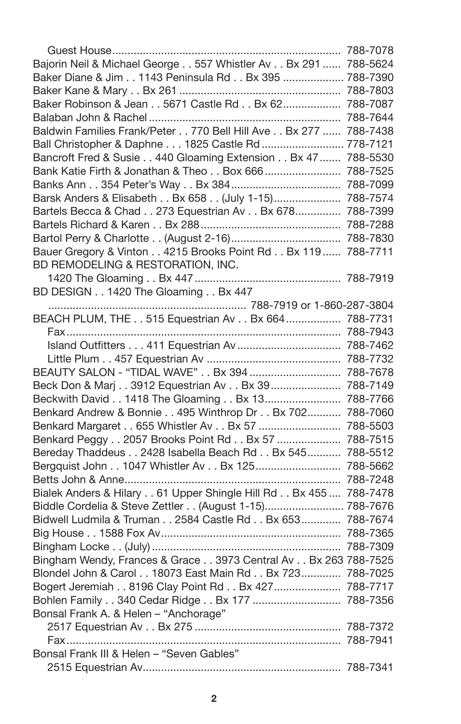| Bajorin Neil & Michael George 557 Whistler Av Bx 291  788-5624  |          |
|-----------------------------------------------------------------|----------|
| Baker Diane & Jim 1143 Peninsula Rd Bx 395  788-7390            |          |
|                                                                 |          |
| Baker Robinson & Jean 5671 Castle Rd Bx 62 788-7087             |          |
|                                                                 |          |
| Baldwin Families Frank/Peter 770 Bell Hill Ave Bx 277  788-7438 |          |
| Ball Christopher & Daphne 1825 Castle Rd  778-7121              |          |
| Bancroft Fred & Susie 440 Gloaming Extension Bx 47  788-5530    |          |
| Bank Katie Firth & Jonathan & Theo Box 666  788-7525            |          |
|                                                                 |          |
| Barsk Anders & Elisabeth Bx 658 (July 1-15) 788-7574            |          |
| Bartels Becca & Chad 273 Equestrian Av Bx 678 788-7399          |          |
|                                                                 |          |
|                                                                 |          |
| Bauer Gregory & Vinton 4215 Brooks Point Rd Bx 119  788-7711    |          |
| BD REMODELING & RESTORATION, INC.                               |          |
|                                                                 |          |
| BD DESIGN 1420 The Gloaming Bx 447                              |          |
|                                                                 |          |
| BEACH PLUM, THE 515 Equestrian Av Bx 664  788-7731              |          |
|                                                                 |          |
|                                                                 |          |
|                                                                 |          |
| BEAUTY SALON - "TIDAL WAVE" Bx 394  788-7678                    |          |
| Beck Don & Marj 3912 Equestrian Av Bx 39  788-7149              |          |
| Beckwith David 1418 The Gloaming Bx 13 788-7766                 |          |
| Benkard Andrew & Bonnie 495 Winthrop Dr Bx 702 788-7060         |          |
| Benkard Margaret 655 Whistler Av Bx 57  788-5503                |          |
| Benkard Peggy 2057 Brooks Point Rd Bx 57  788-7515              |          |
| Bereday Thaddeus 2428 Isabella Beach Rd Bx 545 788-5512         |          |
| Bergquist John 1047 Whistler Av Bx 125 788-5662                 |          |
|                                                                 | 788-7248 |
| Bialek Anders & Hilary 61 Upper Shingle Hill Rd Bx 455 788-7478 |          |
| Biddle Cordelia & Steve Zettler (August 1-15) 788-7676          |          |
| Bidwell Ludmila & Truman 2584 Castle Rd Bx 653 788-7674         |          |
|                                                                 |          |
|                                                                 |          |
| Bingham Wendy, Frances & Grace 3973 Central Av Bx 263 788-7525  |          |
| Blondel John & Carol 18073 East Main Rd Bx 723 788-7025         |          |
| Bogert Jeremiah 8196 Clay Point Rd Bx 427 788-7717              |          |
| Bohlen Family 340 Cedar Ridge Bx 177  788-7356                  |          |
| Bonsal Frank A. & Helen - "Anchorage"                           |          |
|                                                                 |          |
|                                                                 |          |
| Bonsal Frank III & Helen - "Seven Gables"                       |          |
|                                                                 |          |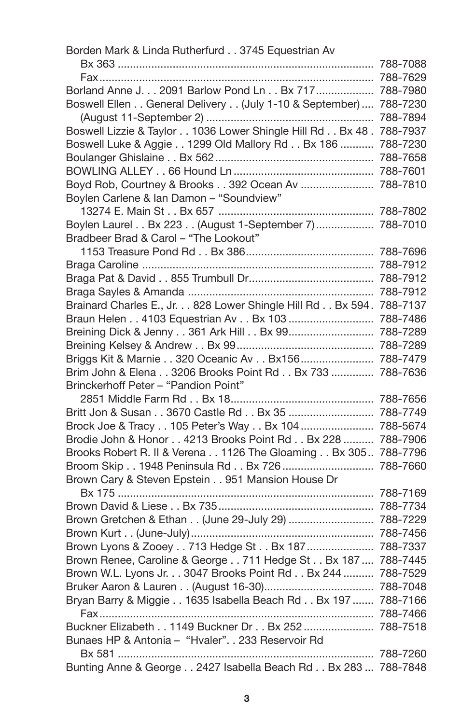| Borden Mark & Linda Rutherfurd 3745 Equestrian Av                   |  |
|---------------------------------------------------------------------|--|
|                                                                     |  |
|                                                                     |  |
| Borland Anne J. 2091 Barlow Pond Ln Bx 717 788-7980                 |  |
| Boswell Ellen General Delivery (July 1-10 & September)  788-7230    |  |
|                                                                     |  |
| Boswell Lizzie & Taylor 1036 Lower Shingle Hill Rd Bx 48 . 788-7937 |  |
| Boswell Luke & Aggie 1299 Old Mallory Rd Bx 186  788-7230           |  |
|                                                                     |  |
|                                                                     |  |
| Boyd Rob, Courtney & Brooks 392 Ocean Av  788-7810                  |  |
| Boylen Carlene & Ian Damon - "Soundview"                            |  |
|                                                                     |  |
| Boylen Laurel Bx 223 (August 1-September 7)  788-7010               |  |
| Bradbeer Brad & Carol - "The Lookout"                               |  |
|                                                                     |  |
|                                                                     |  |
|                                                                     |  |
|                                                                     |  |
| Brainard Charles E., Jr. 828 Lower Shingle Hill Rd Bx 594. 788-7137 |  |
| Braun Helen 4103 Equestrian Av Bx 103  788-7486                     |  |
| Breining Dick & Jenny 361 Ark Hill Bx 99 788-7289                   |  |
|                                                                     |  |
| Briggs Kit & Marnie 320 Oceanic Av Bx156 788-7479                   |  |
| Brim John & Elena 3206 Brooks Point Rd Bx 733  788-7636             |  |
| Brinckerhoff Peter - "Pandion Point"                                |  |
| Britt Jon & Susan 3670 Castle Rd Bx 35  788-7749                    |  |
| Brock Joe & Tracy 105 Peter's Way Bx 104  788-5674                  |  |
| Brodie John & Honor 4213 Brooks Point Rd Bx 228  788-7906           |  |
| Brooks Robert R. II & Verena 1126 The Gloaming Bx 305 788-7796      |  |
| Broom Skip 1948 Peninsula Rd Bx 726  788-7660                       |  |
| Brown Cary & Steven Epstein 951 Mansion House Dr                    |  |
|                                                                     |  |
|                                                                     |  |
| Brown Gretchen & Ethan (June 29-July 29)  788-7229                  |  |
|                                                                     |  |
| Brown Lyons & Zooey 713 Hedge St Bx 187  788-7337                   |  |
| Brown Renee, Caroline & George 711 Hedge St Bx 187  788-7445        |  |
| Brown W.L. Lyons Jr. 3047 Brooks Point Rd Bx 244  788-7529          |  |
|                                                                     |  |
| Bryan Barry & Miggie 1635 Isabella Beach Rd Bx 197  788-7166        |  |
|                                                                     |  |
| Buckner Elizabeth 1149 Buckner Dr Bx 252  788-7518                  |  |
| Bunaes HP & Antonia - "Hvaler". . 233 Reservoir Rd                  |  |
|                                                                     |  |
| Bunting Anne & George 2427 Isabella Beach Rd Bx 283  788-7848       |  |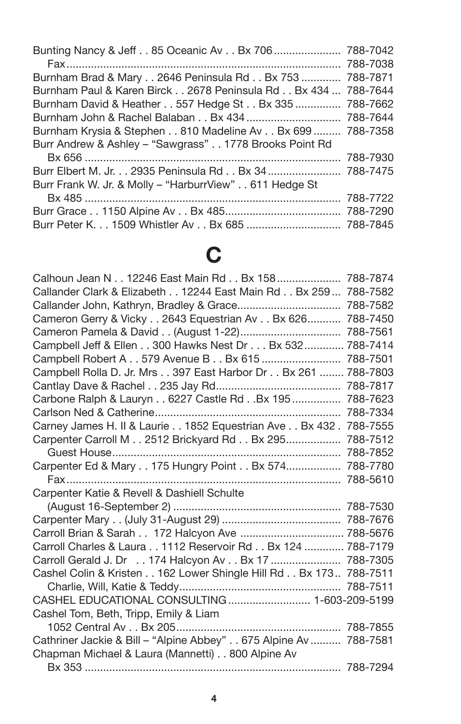| Bunting Nancy & Jeff 85 Oceanic Av Bx 706  788-7042           |          |
|---------------------------------------------------------------|----------|
|                                                               |          |
| Burnham Brad & Mary 2646 Peninsula Rd Bx 753  788-7871        |          |
| Burnham Paul & Karen Birck 2678 Peninsula Rd Bx 434  788-7644 |          |
| Burnham David & Heather 557 Hedge St Bx 335  788-7662         |          |
|                                                               |          |
| Burnham Krysia & Stephen 810 Madeline Av Bx 699  788-7358     |          |
| Burr Andrew & Ashley - "Sawgrass" 1778 Brooks Point Rd        |          |
|                                                               | 788-7930 |
| Burr Elbert M. Jr. 2935 Peninsula Rd Bx 34 788-7475           |          |
| Burr Frank W. Jr. & Molly - "HarburrView" 611 Hedge St        |          |
|                                                               | 788-7722 |
|                                                               | 788-7290 |
| Burr Peter K. 1509 Whistler Av Bx 685  788-7845               |          |

## **C**

| Calhoun Jean N 12246 East Main Rd Bx 158  788-7874               |          |
|------------------------------------------------------------------|----------|
| Callander Clark & Elizabeth 12244 East Main Rd Bx 259  788-7582  |          |
|                                                                  | 788-7582 |
| Cameron Gerry & Vicky 2643 Equestrian Av Bx 626                  | 788-7450 |
|                                                                  | 788-7561 |
| Campbell Jeff & Ellen 300 Hawks Nest Dr Bx 532                   | 788-7414 |
| Campbell Robert A 579 Avenue B Bx 615                            | 788-7501 |
| Campbell Rolla D. Jr. Mrs 397 East Harbor Dr Bx 261              | 788-7803 |
|                                                                  | 788-7817 |
| Carbone Ralph & Lauryn 6227 Castle Rd Bx 195                     | 788-7623 |
|                                                                  | 788-7334 |
| Carney James H. II & Laurie 1852 Equestrian Ave Bx 432.          | 788-7555 |
| Carpenter Carroll M 2512 Brickyard Rd Bx 295                     | 788-7512 |
|                                                                  | 788-7852 |
| Carpenter Ed & Mary 175 Hungry Point Bx 574                      | 788-7780 |
|                                                                  | 788-5610 |
| Carpenter Katie & Revell & Dashiell Schulte                      |          |
|                                                                  |          |
|                                                                  |          |
| Carroll Brian & Sarah 172 Halcyon Ave  788-5676                  |          |
| Carroll Charles & Laura 1112 Reservoir Rd Bx 124  788-7179       |          |
| Carroll Gerald J. Dr 174 Halcyon Av Bx 17  788-7305              |          |
| Cashel Colin & Kristen 162 Lower Shingle Hill Rd Bx 173 788-7511 |          |
|                                                                  |          |
| CASHEL EDUCATIONAL CONSULTING 1-603-209-5199                     |          |
| Cashel Tom, Beth, Tripp, Emily & Liam                            |          |
|                                                                  |          |
| Cathriner Jackie & Bill - "Alpine Abbey" 675 Alpine Av  788-7581 |          |
| Chapman Michael & Laura (Mannetti) 800 Alpine Av                 |          |
|                                                                  |          |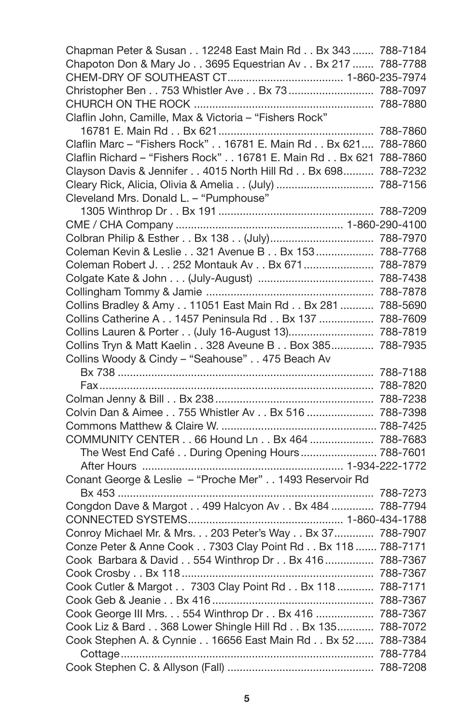| Chapman Peter & Susan 12248 East Main Rd Bx 343  788-7184         |  |
|-------------------------------------------------------------------|--|
| Chapoton Don & Mary Jo 3695 Equestrian Av Bx 217  788-7788        |  |
|                                                                   |  |
| Christopher Ben 753 Whistler Ave Bx 73  788-7097                  |  |
|                                                                   |  |
| Claflin John, Camille, Max & Victoria - "Fishers Rock"            |  |
|                                                                   |  |
| Claflin Marc - "Fishers Rock" 16781 E. Main Rd Bx 621 788-7860    |  |
| Claflin Richard - "Fishers Rock" 16781 E. Main Rd Bx 621 788-7860 |  |
| Clayson Davis & Jennifer 4015 North Hill Rd Bx 698 788-7232       |  |
| Cleary Rick, Alicia, Olivia & Amelia (July)  788-7156             |  |
| Cleveland Mrs. Donald L. - "Pumphouse"                            |  |
|                                                                   |  |
|                                                                   |  |
|                                                                   |  |
| Coleman Kevin & Leslie 321 Avenue B Bx 153  788-7768              |  |
| Coleman Robert J. 252 Montauk Av Bx 671 788-7879                  |  |
|                                                                   |  |
|                                                                   |  |
| Collins Bradley & Amy 11051 East Main Rd Bx 281  788-5690         |  |
| Collins Catherine A 1457 Peninsula Rd Bx 137  788-7609            |  |
| Collins Lauren & Porter (July 16-August 13) 788-7819              |  |
| Collins Tryn & Matt Kaelin 328 Aveune B Box 385 788-7935          |  |
| Collins Woody & Cindy - "Seahouse" 475 Beach Av                   |  |
|                                                                   |  |
|                                                                   |  |
|                                                                   |  |
| Colvin Dan & Aimee 755 Whistler Av Bx 516  788-7398               |  |
|                                                                   |  |
| COMMUNITY CENTER 66 Hound Ln Bx 464  788-7683                     |  |
| The West End Café During Opening Hours  788-7601                  |  |
|                                                                   |  |
| Conant George & Leslie - "Proche Mer" 1493 Reservoir Rd           |  |
|                                                                   |  |
| Congdon Dave & Margot 499 Halcyon Av Bx 484  788-7794             |  |
|                                                                   |  |
| Conroy Michael Mr. & Mrs. 203 Peter's Way Bx 37 788-7907          |  |
| Conze Peter & Anne Cook 7303 Clay Point Rd Bx 118  788-7171       |  |
| Cook Barbara & David 554 Winthrop Dr Bx 416  788-7367             |  |
|                                                                   |  |
| Cook Cutler & Margot 7303 Clay Point Rd Bx 118  788-7171          |  |
|                                                                   |  |
| Cook George III Mrs. 554 Winthrop Dr Bx 416  788-7367             |  |
| Cook Liz & Bard 368 Lower Shingle Hill Rd Bx 135 788-7072         |  |
| Cook Stephen A. & Cynnie 16656 East Main Rd Bx 52 788-7384        |  |
|                                                                   |  |
|                                                                   |  |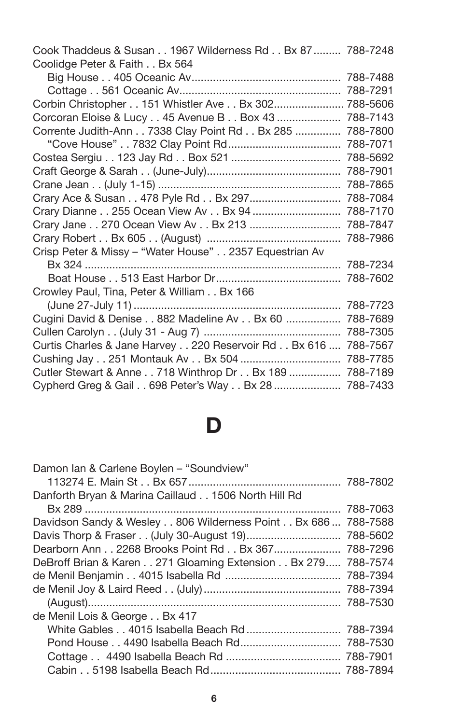| Cook Thaddeus & Susan 1967 Wilderness Rd Bx 87  788-7248       |          |
|----------------------------------------------------------------|----------|
| Coolidge Peter & Faith Bx 564                                  |          |
|                                                                |          |
|                                                                |          |
| Corbin Christopher 151 Whistler Ave Bx 302 788-5606            |          |
| Corcoran Eloise & Lucy 45 Avenue B Box 43                      | 788-7143 |
| Corrente Judith-Ann 7338 Clay Point Rd Bx 285                  | 788-7800 |
|                                                                | 788-7071 |
|                                                                |          |
|                                                                |          |
|                                                                |          |
| Crary Ace & Susan 478 Pyle Rd Bx 297 788-7084                  |          |
| Crary Dianne 255 Ocean View Av Bx 94  788-7170                 |          |
| Crary Jane 270 Ocean View Av Bx 213  788-7847                  |          |
|                                                                |          |
| Crisp Peter & Missy - "Water House" 2357 Equestrian Av         |          |
|                                                                |          |
|                                                                |          |
| Crowley Paul, Tina, Peter & William Bx 166                     |          |
|                                                                | 788-7723 |
| Cugini David & Denise 882 Madeline Av Bx 60                    | 788-7689 |
|                                                                | 788-7305 |
| Curtis Charles & Jane Harvey 220 Reservoir Rd Bx 616  788-7567 |          |
|                                                                |          |
| Cutler Stewart & Anne 718 Winthrop Dr Bx 189  788-7189         |          |
| Cypherd Greg & Gail 698 Peter's Way Bx 28  788-7433            |          |

### **D**

| Damon Ian & Carlene Boylen - "Soundview"                      |  |
|---------------------------------------------------------------|--|
|                                                               |  |
| Danforth Bryan & Marina Caillaud 1506 North Hill Rd           |  |
|                                                               |  |
| Davidson Sandy & Wesley 806 Wilderness Point Bx 686  788-7588 |  |
|                                                               |  |
| Dearborn Ann 2268 Brooks Point Rd Bx 367 788-7296             |  |
| DeBroff Brian & Karen 271 Gloaming Extension Bx 279 788-7574  |  |
|                                                               |  |
|                                                               |  |
|                                                               |  |
| de Menil Lois & George Bx 417                                 |  |
|                                                               |  |
| Pond House 4490 Isabella Beach Rd 788-7530                    |  |
|                                                               |  |
|                                                               |  |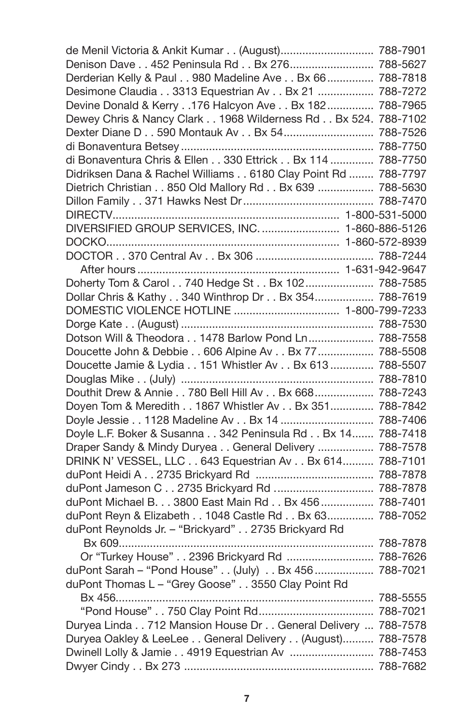| de Menil Victoria & Ankit Kumar (August) 788-7901             |  |
|---------------------------------------------------------------|--|
| Denison Dave 452 Peninsula Rd Bx 276 788-5627                 |  |
| Derderian Kelly & Paul 980 Madeline Ave Bx 66  788-7818       |  |
| Desimone Claudia 3313 Equestrian Av Bx 21  788-7272           |  |
| Devine Donald & Kerry 176 Halcyon Ave Bx 182  788-7965        |  |
| Dewey Chris & Nancy Clark 1968 Wilderness Rd Bx 524. 788-7102 |  |
| Dexter Diane D 590 Montauk Av Bx 54 788-7526                  |  |
|                                                               |  |
| di Bonaventura Chris & Ellen 330 Ettrick Bx 114  788-7750     |  |
| Didriksen Dana & Rachel Williams 6180 Clay Point Rd  788-7797 |  |
| Dietrich Christian 850 Old Mallory Rd Bx 639  788-5630        |  |
|                                                               |  |
|                                                               |  |
| DIVERSIFIED GROUP SERVICES, INC.  1-860-886-5126              |  |
|                                                               |  |
|                                                               |  |
|                                                               |  |
| Doherty Tom & Carol 740 Hedge St Bx 102  788-7585             |  |
| Dollar Chris & Kathy 340 Winthrop Dr Bx 354 788-7619          |  |
| DOMESTIC VIOLENCE HOTLINE  1-800-799-7233                     |  |
|                                                               |  |
| Dotson Will & Theodora 1478 Barlow Pond Ln 788-7558           |  |
|                                                               |  |
| Doucette John & Debbie 606 Alpine Av Bx 77  788-5508          |  |
| Doucette Jamie & Lydia 151 Whistler Av Bx 613  788-5507       |  |
| Douthit Drew & Annie 780 Bell Hill Av Bx 668 788-7243         |  |
|                                                               |  |
| Doyen Tom & Meredith 1867 Whistler Av Bx 351 788-7842         |  |
| Doyle Jessie 1128 Madeline Av Bx 14  788-7406                 |  |
| Doyle L.F. Boker & Susanna 342 Peninsula Rd Bx 14 788-7418    |  |
| Draper Sandy & Mindy Duryea General Delivery  788-7578        |  |
| DRINK N' VESSEL, LLC 643 Equestrian Av Bx 614 788-7101        |  |
|                                                               |  |
| duPont Jameson C 2735 Brickyard Rd  788-7878                  |  |
| duPont Michael B. 3800 East Main Rd Bx 456  788-7401          |  |
| duPont Reyn & Elizabeth 1048 Castle Rd Bx 63 788-7052         |  |
| duPont Reynolds Jr. - "Brickyard" 2735 Brickyard Rd           |  |
|                                                               |  |
| Or "Turkey House" 2396 Brickyard Rd  788-7626                 |  |
| duPont Sarah - "Pond House" (July) Bx 456  788-7021           |  |
| duPont Thomas L - "Grey Goose" 3550 Clay Point Rd             |  |
|                                                               |  |
|                                                               |  |
| Duryea Linda 712 Mansion House Dr General Delivery  788-7578  |  |
| Duryea Oakley & LeeLee General Delivery (August) 788-7578     |  |
| Dwinell Lolly & Jamie 4919 Equestrian Av  788-7453            |  |
|                                                               |  |
|                                                               |  |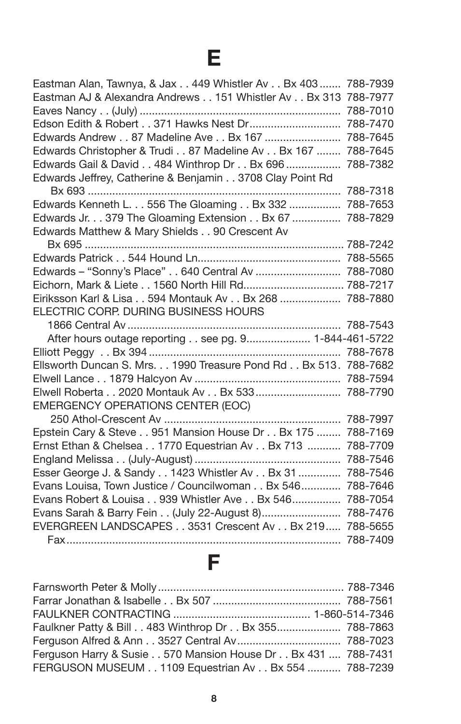## **E**

| Eastman Alan, Tawnya, & Jax 449 Whistler Av Bx 403  788-7939    |          |
|-----------------------------------------------------------------|----------|
| Eastman AJ & Alexandra Andrews 151 Whistler Av Bx 313 788-7977  |          |
|                                                                 | 788-7010 |
| Edson Edith & Robert 371 Hawks Nest Dr                          | 788-7470 |
| Edwards Andrew 87 Madeline Ave Bx 167  788-7645                 |          |
| Edwards Christopher & Trudi 87 Madeline Av Bx 167  788-7645     |          |
| Edwards Gail & David 484 Winthrop Dr Bx 696  788-7382           |          |
| Edwards Jeffrey, Catherine & Benjamin 3708 Clay Point Rd        |          |
|                                                                 | 788-7318 |
| Edwards Kenneth L. 556 The Gloaming Bx 332                      | 788-7653 |
| Edwards Jr. 379 The Gloaming Extension Bx 67                    | 788-7829 |
| Edwards Matthew & Mary Shields 90 Crescent Av                   |          |
|                                                                 |          |
|                                                                 |          |
| Edwards - "Sonny's Place" 640 Central Av  788-7080              |          |
| Eichorn, Mark & Liete 1560 North Hill Rd 788-7217               |          |
| Eiriksson Karl & Lisa 594 Montauk Av Bx 268  788-7880           |          |
| ELECTRIC CORP. DURING BUSINESS HOURS                            |          |
|                                                                 |          |
| After hours outage reporting see pg. 9 1-844-461-5722           |          |
|                                                                 |          |
| Ellsworth Duncan S. Mrs. 1990 Treasure Pond Rd Bx 513. 788-7682 |          |
|                                                                 |          |
| Elwell Roberta 2020 Montauk Av Bx 533  788-7790                 |          |
| <b>EMERGENCY OPERATIONS CENTER (EOC)</b>                        |          |
|                                                                 | 788-7997 |
| Epstein Cary & Steve 951 Mansion House Dr Bx 175                | 788-7169 |
| Ernst Ethan & Chelsea 1770 Equestrian Av Bx 713                 | 788-7709 |
|                                                                 | 788-7546 |
| Esser George J. & Sandy 1423 Whistler Av Bx 31  788-7546        |          |
| Evans Louisa, Town Justice / Councilwoman Bx 546                | 788-7646 |
| Evans Robert & Louisa 939 Whistler Ave Bx 546                   | 788-7054 |
| Evans Sarah & Barry Fein (July 22-August 8)                     | 788-7476 |
| EVERGREEN LANDSCAPES 3531 Crescent Av Bx 219                    | 788-5655 |
|                                                                 | 788-7409 |

## **F**

| Faulkner Patty & Bill 483 Winthrop Dr Bx 355 788-7863        |  |
|--------------------------------------------------------------|--|
|                                                              |  |
| Ferguson Harry & Susie 570 Mansion House Dr Bx 431  788-7431 |  |
| FERGUSON MUSEUM 1109 Equestrian Av Bx 554  788-7239          |  |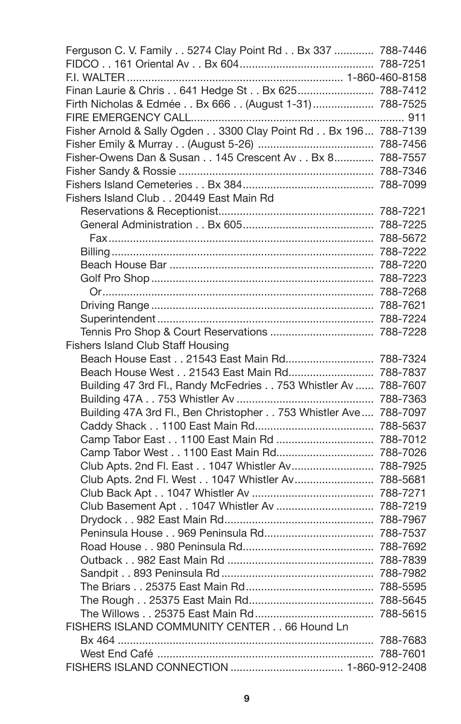| Ferguson C. V. Family 5274 Clay Point Rd Bx 337  788-7446                         |  |
|-----------------------------------------------------------------------------------|--|
|                                                                                   |  |
|                                                                                   |  |
| Finan Laurie & Chris 641 Hedge St Bx 625 788-7412                                 |  |
| Firth Nicholas & Edmée Bx 666 (August 1-31)  788-7525                             |  |
|                                                                                   |  |
| Fisher Arnold & Sally Ogden 3300 Clay Point Rd Bx 196 788-7139                    |  |
|                                                                                   |  |
| Fisher-Owens Dan & Susan 145 Crescent Av Bx 8 788-7557                            |  |
|                                                                                   |  |
|                                                                                   |  |
| Fishers Island Club 20449 East Main Rd                                            |  |
|                                                                                   |  |
|                                                                                   |  |
|                                                                                   |  |
|                                                                                   |  |
|                                                                                   |  |
|                                                                                   |  |
|                                                                                   |  |
|                                                                                   |  |
|                                                                                   |  |
|                                                                                   |  |
| Fishers Island Club Staff Housing<br>Beach House East 21543 East Main Rd 788-7324 |  |
| Beach House West 21543 East Main Rd 788-7837                                      |  |
| Building 47 3rd Fl., Randy McFedries 753 Whistler Av  788-7607                    |  |
|                                                                                   |  |
| Building 47A 3rd Fl., Ben Christopher 753 Whistler Ave  788-7097                  |  |
|                                                                                   |  |
| Camp Tabor East 1100 East Main Rd  788-7012                                       |  |
| Camp Tabor West 1100 East Main Rd 788-7026                                        |  |
| Club Apts. 2nd Fl. East 1047 Whistler Av 788-7925                                 |  |
| Club Apts. 2nd Fl. West 1047 Whistler Av 788-5681                                 |  |
|                                                                                   |  |
| Club Basement Apt 1047 Whistler Av  788-7219                                      |  |
|                                                                                   |  |
|                                                                                   |  |
|                                                                                   |  |
|                                                                                   |  |
|                                                                                   |  |
|                                                                                   |  |
|                                                                                   |  |
|                                                                                   |  |
| FISHERS ISLAND COMMUNITY CENTER 66 Hound Ln                                       |  |
|                                                                                   |  |
|                                                                                   |  |
|                                                                                   |  |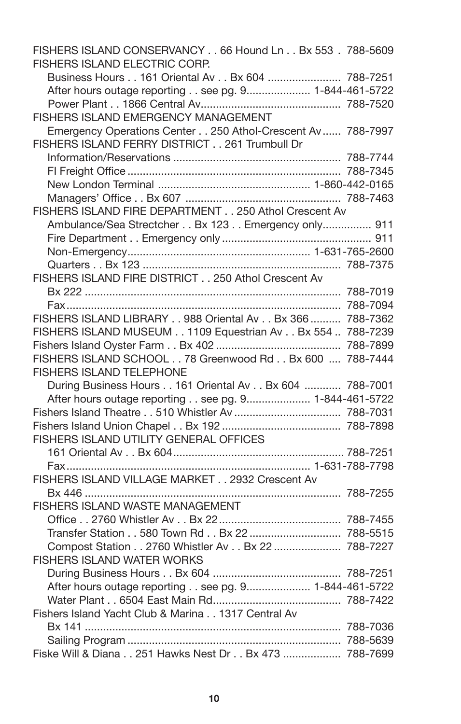| FISHERS ISLAND CONSERVANCY 66 Hound Ln Bx 553 . 788-5609<br><b>FISHERS ISLAND ELECTRIC CORP.</b> |  |
|--------------------------------------------------------------------------------------------------|--|
| Business Hours 161 Oriental Av Bx 604  788-7251                                                  |  |
| After hours outage reporting see pg. 9 1-844-461-5722                                            |  |
|                                                                                                  |  |
| FISHERS ISLAND EMERGENCY MANAGEMENT                                                              |  |
| Emergency Operations Center 250 Athol-Crescent Av  788-7997                                      |  |
| FISHERS ISLAND FERRY DISTRICT 261 Trumbull Dr                                                    |  |
|                                                                                                  |  |
|                                                                                                  |  |
|                                                                                                  |  |
|                                                                                                  |  |
| FISHERS ISLAND FIRE DEPARTMENT 250 Athol Crescent Av                                             |  |
| Ambulance/Sea Strectcher Bx 123 Emergency only 911                                               |  |
|                                                                                                  |  |
|                                                                                                  |  |
|                                                                                                  |  |
| FISHERS ISLAND FIRE DISTRICT 250 Athol Crescent Av                                               |  |
|                                                                                                  |  |
|                                                                                                  |  |
| FISHERS ISLAND LIBRARY 988 Oriental Av Bx 366  788-7362                                          |  |
| FISHERS ISLAND MUSEUM 1109 Equestrian Av Bx 554  788-7239                                        |  |
|                                                                                                  |  |
| FISHERS ISLAND SCHOOL 78 Greenwood Rd Bx 600  788-7444                                           |  |
| <b>FISHERS ISLAND TELEPHONE</b>                                                                  |  |
| During Business Hours 161 Oriental Av Bx 604  788-7001                                           |  |
| After hours outage reporting see pg. 9 1-844-461-5722                                            |  |
|                                                                                                  |  |
|                                                                                                  |  |
| FISHERS ISLAND UTILITY GENERAL OFFICES                                                           |  |
|                                                                                                  |  |
|                                                                                                  |  |
| FISHERS ISLAND VILLAGE MARKET 2932 Crescent Av                                                   |  |
|                                                                                                  |  |
| FISHERS ISLAND WASTE MANAGEMENT                                                                  |  |
|                                                                                                  |  |
|                                                                                                  |  |
| Compost Station 2760 Whistler Av Bx 22  788-7227                                                 |  |
| FISHERS ISLAND WATER WORKS                                                                       |  |
|                                                                                                  |  |
| After hours outage reporting see pg. 9 1-844-461-5722                                            |  |
|                                                                                                  |  |
| Fishers Island Yacht Club & Marina 1317 Central Av                                               |  |
|                                                                                                  |  |
|                                                                                                  |  |
| Fiske Will & Diana 251 Hawks Nest Dr Bx 473  788-7699                                            |  |
|                                                                                                  |  |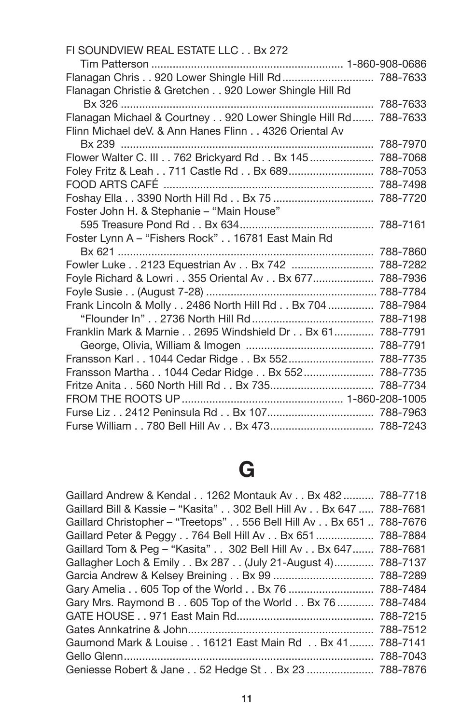| FI SOUNDVIEW REAL ESTATE LLC Bx 272                            |          |
|----------------------------------------------------------------|----------|
|                                                                |          |
| Flanagan Chris 920 Lower Shingle Hill Rd  788-7633             |          |
| Flanagan Christie & Gretchen 920 Lower Shingle Hill Rd         |          |
|                                                                |          |
| Flanagan Michael & Courtney 920 Lower Shingle Hill Rd 788-7633 |          |
| Flinn Michael deV. & Ann Hanes Flinn 4326 Oriental Av          |          |
|                                                                | 788-7970 |
| Flower Walter C. III 762 Brickyard Rd Bx 145  788-7068         |          |
| Foley Fritz & Leah 711 Castle Rd Bx 689                        | 788-7053 |
|                                                                |          |
| Foshay Ella 3390 North Hill Rd Bx 75  788-7720                 |          |
| Foster John H. & Stephanie - "Main House"                      |          |
|                                                                | 788-7161 |
| Foster Lynn A - "Fishers Rock" 16781 East Main Rd              |          |
|                                                                |          |
| Fowler Luke 2123 Equestrian Av Bx 742  788-7282                |          |
| Foyle Richard & Lowri 355 Oriental Av Bx 677                   | 788-7936 |
|                                                                |          |
| Frank Lincoln & Molly 2486 North Hill Rd Bx 704                | 788-7984 |
|                                                                |          |
| Franklin Mark & Marnie 2695 Windshield Dr Bx 61                | 788-7791 |
|                                                                |          |
| Fransson Karl 1044 Cedar Ridge Bx 552 788-7735                 |          |
| Fransson Martha 1044 Cedar Ridge Bx 552 788-7735               |          |
| Fritze Anita 560 North Hill Rd Bx 735 788-7734                 |          |
|                                                                |          |
|                                                                |          |
| Furse William 780 Bell Hill Av Bx 473 788-7243                 |          |

## **G**

| Gaillard Andrew & Kendal 1262 Montauk Av Bx 482  788-7718           |          |
|---------------------------------------------------------------------|----------|
| Gaillard Bill & Kassie - "Kasita" 302 Bell Hill Av Bx 647  788-7681 |          |
| Gaillard Christopher – "Treetops" 556 Bell Hill Av Bx 651  788-7676 |          |
| Gaillard Peter & Peggy 764 Bell Hill Av Bx 651  788-7884            |          |
| Gaillard Tom & Peg - "Kasita" 302 Bell Hill Av Bx 647 788-7681      |          |
| Gallagher Loch & Emily Bx 287 (July 21-August 4) 788-7137           |          |
|                                                                     |          |
| Gary Amelia 605 Top of the World Bx 76  788-7484                    |          |
| Gary Mrs. Raymond B 605 Top of the World Bx 76  788-7484            |          |
|                                                                     |          |
|                                                                     | 788-7512 |
| Gaumond Mark & Louise 16121 East Main Rd Bx 41 788-7141             |          |
|                                                                     |          |
| Geniesse Robert & Jane 52 Hedge St Bx 23  788-7876                  |          |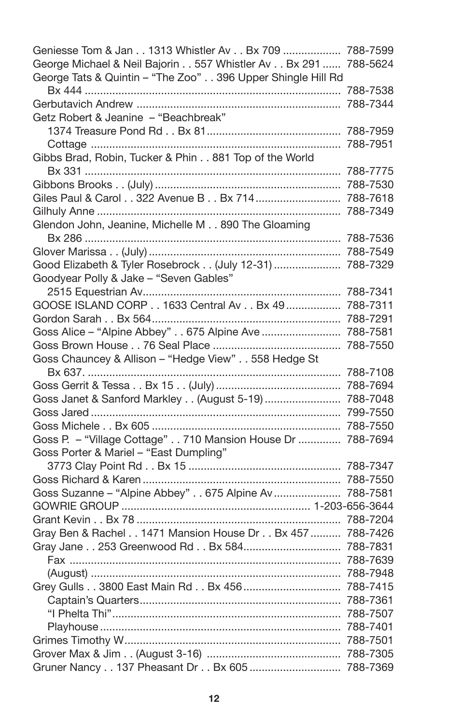| Geniesse Tom & Jan 1313 Whistler Av Bx 709  788-7599           |          |
|----------------------------------------------------------------|----------|
| George Michael & Neil Bajorin 557 Whistler Av Bx 291  788-5624 |          |
| George Tats & Quintin - "The Zoo" 396 Upper Shingle Hill Rd    |          |
|                                                                |          |
|                                                                | 788-7344 |
| Getz Robert & Jeanine - "Beachbreak"                           |          |
|                                                                |          |
|                                                                |          |
| Gibbs Brad, Robin, Tucker & Phin 881 Top of the World          |          |
|                                                                | 788-7775 |
|                                                                |          |
| Giles Paul & Carol 322 Avenue B Bx 714  788-7618               |          |
|                                                                |          |
| Glendon John, Jeanine, Michelle M 890 The Gloaming             |          |
|                                                                |          |
|                                                                |          |
| Good Elizabeth & Tyler Rosebrock (July 12-31)  788-7329        |          |
| Goodyear Polly & Jake - "Seven Gables"                         |          |
|                                                                |          |
| GOOSE ISLAND CORP 1633 Central Av Bx 49  788-7311              |          |
|                                                                |          |
| Goss Alice - "Alpine Abbey" 675 Alpine Ave  788-7581           |          |
|                                                                |          |
| Goss Chauncey & Allison - "Hedge View" 558 Hedge St            |          |
|                                                                |          |
|                                                                |          |
| Goss Janet & Sanford Markley (August 5-19)  788-7048           |          |
|                                                                | 799-7550 |
|                                                                |          |
| Goss P. - "Village Cottage" 710 Mansion House Dr  788-7694     |          |
| Goss Porter & Mariel - "East Dumpling"                         |          |
|                                                                |          |
|                                                                |          |
| Goss Suzanne - "Alpine Abbey" 675 Alpine Av                    | 788-7581 |
|                                                                |          |
|                                                                |          |
| Gray Ben & Rachel 1471 Mansion House Dr Bx 457                 | 788-7426 |
| Gray Jane 253 Greenwood Rd Bx 584 788-7831                     |          |
|                                                                |          |
|                                                                |          |
| Grey Gulls 3800 East Main Rd Bx 456  788-7415                  |          |
|                                                                |          |
|                                                                |          |
|                                                                |          |
|                                                                |          |
|                                                                |          |
| Gruner Nancy 137 Pheasant Dr Bx 605  788-7369                  |          |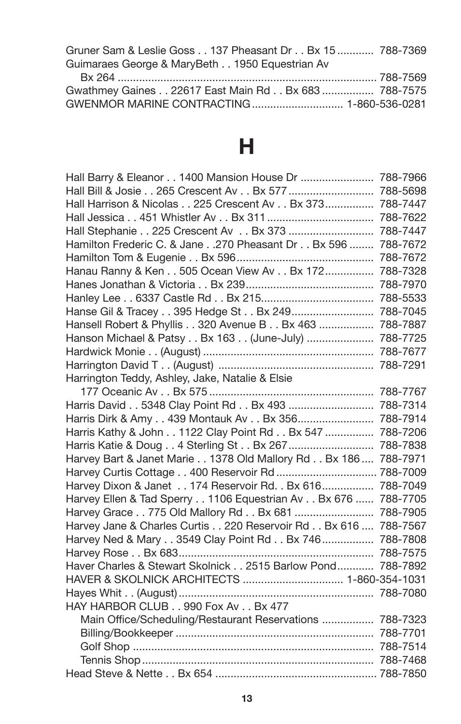| Gruner Sam & Leslie Goss 137 Pheasant Dr Bx 15  788-7369 |  |
|----------------------------------------------------------|--|
| Guimaraes George & MaryBeth 1950 Equestrian Av           |  |

Bx 264 ..................................................................................... 788-7569 Gwathmey Gaines . . 22617 East Main Rd . . Bx 683 ................. 788-7575 GWENMOR MARINE CONTRACTING.............................. 1-860-536-0281

## **H**

| Hall Barry & Eleanor 1400 Mansion House Dr  788-7966           |          |
|----------------------------------------------------------------|----------|
| Hall Bill & Josie 265 Crescent Av Bx 577  788-5698             |          |
| Hall Harrison & Nicolas 225 Crescent Av Bx 373 788-7447        |          |
|                                                                |          |
| Hall Stephanie 225 Crescent Av Bx 373                          | 788-7447 |
| Hamilton Frederic C. & Jane270 Pheasant Dr Bx 596              | 788-7672 |
|                                                                | 788-7672 |
| Hanau Ranny & Ken 505 Ocean View Av Bx 172 788-7328            |          |
|                                                                |          |
|                                                                |          |
| Hanse Gil & Tracey 395 Hedge St Bx 249 788-7045                |          |
| Hansell Robert & Phyllis 320 Avenue B Bx 463  788-7887         |          |
| Hanson Michael & Patsy Bx 163 (June-July)  788-7725            |          |
|                                                                |          |
|                                                                |          |
| Harrington Teddy, Ashley, Jake, Natalie & Elsie                |          |
|                                                                |          |
| Harris David 5348 Clay Point Rd Bx 493  788-7314               |          |
| Harris Dirk & Amy 439 Montauk Av Bx 356 788-7914               |          |
| Harris Kathy & John 1122 Clay Point Rd Bx 547  788-7206        |          |
| Harris Katie & Doug 4 Sterling St Bx 267  788-7838             |          |
| Harvey Bart & Janet Marie 1378 Old Mallory Rd Bx 186  788-7971 |          |
| Harvey Curtis Cottage 400 Reservoir Rd  788-7009               |          |
| Harvey Dixon & Janet 174 Reservoir Rd. . Bx 616 788-7049       |          |
| Harvey Ellen & Tad Sperry 1106 Equestrian Av Bx 676  788-7705  |          |
| Harvey Grace 775 Old Mallory Rd Bx 681  788-7905               |          |
| Harvey Jane & Charles Curtis 220 Reservoir Rd Bx 616  788-7567 |          |
| Harvey Ned & Mary 3549 Clay Point Rd Bx 746 788-7808           |          |
|                                                                |          |
| Haver Charles & Stewart Skolnick 2515 Barlow Pond 788-7892     |          |
| HAVER & SKOLNICK ARCHITECTS  1-860-354-1031                    |          |
|                                                                |          |
| HAY HARBOR CLUB 990 Fox Av Bx 477                              |          |
| Main Office/Scheduling/Restaurant Reservations  788-7323       |          |
|                                                                |          |
|                                                                |          |
|                                                                |          |
|                                                                |          |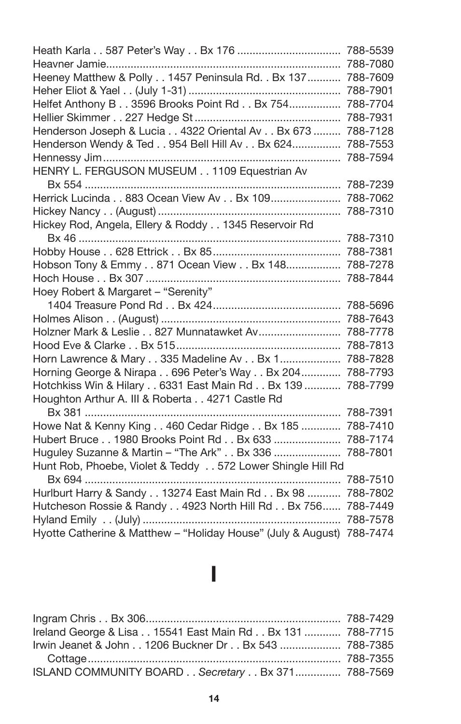|                                                                       | 788-5539 |
|-----------------------------------------------------------------------|----------|
| Heavner Jamie                                                         | 788-7080 |
| Heeney Matthew & Polly 1457 Peninsula Rd. . Bx 137                    | 788-7609 |
|                                                                       | 788-7901 |
| Helfet Anthony B 3596 Brooks Point Rd Bx 754                          | 788-7704 |
|                                                                       | 788-7931 |
| Henderson Joseph & Lucia 4322 Oriental Av Bx 673                      | 788-7128 |
| Henderson Wendy & Ted 954 Bell Hill Av Bx 624                         | 788-7553 |
|                                                                       | 788-7594 |
| HENRY L. FERGUSON MUSEUM 1109 Equestrian Av                           |          |
|                                                                       | 788-7239 |
| Herrick Lucinda 883 Ocean View Av Bx 109                              | 788-7062 |
|                                                                       | 788-7310 |
| Hickey Rod, Angela, Ellery & Roddy 1345 Reservoir Rd                  |          |
|                                                                       | 788-7310 |
|                                                                       |          |
| Hobson Tony & Emmy 871 Ocean View Bx 148 788-7278                     |          |
|                                                                       |          |
| Hoey Robert & Margaret - "Serenity"                                   |          |
|                                                                       | 788-5696 |
|                                                                       | 788-7643 |
|                                                                       | 788-7778 |
|                                                                       | 788-7813 |
| Horn Lawrence & Mary 335 Madeline Av Bx 1                             | 788-7828 |
| Horning George & Nirapa 696 Peter's Way Bx 204                        | 788-7793 |
| Hotchkiss Win & Hilary 6331 East Main Rd Bx 139                       | 788-7799 |
| Houghton Arthur A. III & Roberta 4271 Castle Rd                       |          |
|                                                                       | 788-7391 |
| Howe Nat & Kenny King 460 Cedar Ridge Bx 185                          | 788-7410 |
| Hubert Bruce 1980 Brooks Point Rd Bx 633                              | 788-7174 |
| Huguley Suzanne & Martin - "The Ark" Bx 336                           | 788-7801 |
| Hunt Rob, Phoebe, Violet & Teddy 572 Lower Shingle Hill Rd            |          |
|                                                                       | 788-7510 |
| Hurlburt Harry & Sandy 13274 East Main Rd Bx 98  788-7802             |          |
| Hutcheson Rossie & Randy 4923 North Hill Rd Bx 756 788-7449           |          |
|                                                                       | 788-7578 |
| Hyotte Catherine & Matthew - "Holiday House" (July & August) 788-7474 |          |

### **I**

| Ireland George & Lisa 15541 East Main Rd Bx 131  788-7715 |  |
|-----------------------------------------------------------|--|
| Irwin Jeanet & John 1206 Buckner Dr Bx 543  788-7385      |  |
|                                                           |  |
| ISLAND COMMUNITY BOARD Secretary Bx 371 788-7569          |  |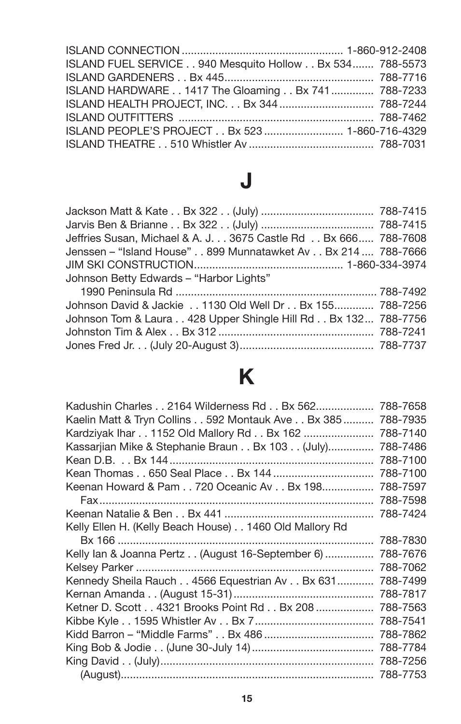| ISLAND FUEL SERVICE 940 Mesquito Hollow Bx 534 788-5573 |  |
|---------------------------------------------------------|--|
|                                                         |  |
| ISLAND HARDWARE 1417 The Gloaming Bx 741  788-7233      |  |
| ISLAND HEALTH PROJECT, INC. Bx 344  788-7244            |  |
|                                                         |  |
| ISLAND PEOPLE'S PROJECT Bx 523  1-860-716-4329          |  |
|                                                         |  |

## **J**

| Jeffries Susan, Michael & A. J 3675 Castle Rd  Bx 666 788-7608 |  |
|----------------------------------------------------------------|--|
| Jenssen - "Island House" 899 Munnatawket Av Bx 214  788-7666   |  |
|                                                                |  |
| Johnson Betty Edwards - "Harbor Lights"                        |  |
|                                                                |  |
| Johnson David & Jackie 1130 Old Well Dr Bx 155 788-7256        |  |
| Johnson Tom & Laura 428 Upper Shingle Hill Rd Bx 132 788-7756  |  |
|                                                                |  |
|                                                                |  |
|                                                                |  |

# **K**

| Kadushin Charles 2164 Wilderness Rd Bx 562             | 788-7658 |
|--------------------------------------------------------|----------|
| Kaelin Matt & Tryn Collins 592 Montauk Ave Bx 385      | 788-7935 |
| Kardziyak Ihar 1152 Old Mallory Rd Bx 162              | 788-7140 |
| Kassarjian Mike & Stephanie Braun Bx 103 (July)        | 788-7486 |
|                                                        | 788-7100 |
|                                                        | 788-7100 |
| Keenan Howard & Pam 720 Oceanic Av Bx 198              | 788-7597 |
|                                                        | 788-7598 |
|                                                        | 788-7424 |
| Kelly Ellen H. (Kelly Beach House) 1460 Old Mallory Rd |          |
|                                                        | 788-7830 |
| Kelly Ian & Joanna Pertz (August 16-September 6)       | 788-7676 |
|                                                        | 788-7062 |
| Kennedy Sheila Rauch 4566 Equestrian Av Bx 631         | 788-7499 |
|                                                        | 788-7817 |
| Ketner D. Scott 4321 Brooks Point Rd Bx 208            | 788-7563 |
|                                                        | 788-7541 |
|                                                        | 788-7862 |
|                                                        | 788-7784 |
|                                                        | 788-7256 |
|                                                        | 788-7753 |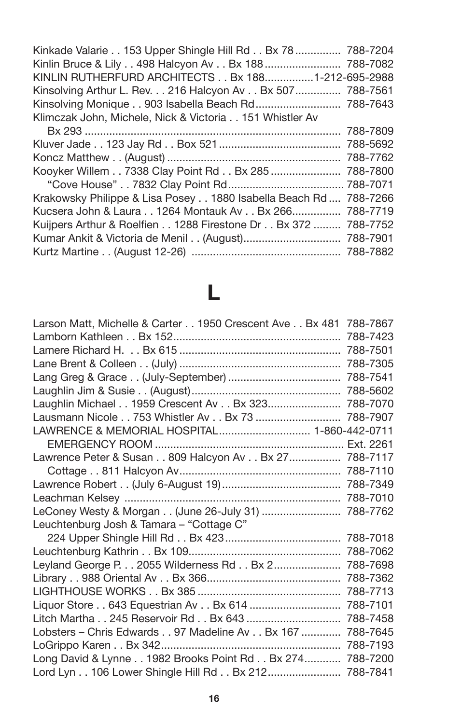| Kinkade Valarie 153 Upper Shingle Hill Rd Bx 78  788-7204        |  |
|------------------------------------------------------------------|--|
| Kinlin Bruce & Lily 498 Halcyon Av Bx 188  788-7082              |  |
| KINLIN RUTHERFURD ARCHITECTS Bx 1881-212-695-2988                |  |
| Kinsolving Arthur L. Rev. 216 Halcyon Av Bx 507 788-7561         |  |
|                                                                  |  |
| Klimczak John, Michele, Nick & Victoria 151 Whistler Av          |  |
|                                                                  |  |
|                                                                  |  |
|                                                                  |  |
| Kooyker Willem 7338 Clay Point Rd Bx 285  788-7800               |  |
|                                                                  |  |
| Krakowsky Philippe & Lisa Posey 1880 Isabella Beach Rd  788-7266 |  |
| Kucsera John & Laura 1264 Montauk Av Bx 266 788-7719             |  |
| Kuijpers Arthur & Roelfien 1288 Firestone Dr Bx 372  788-7752    |  |
|                                                                  |  |
|                                                                  |  |

## **L**

| Larson Matt, Michelle & Carter 1950 Crescent Ave Bx 481 788-7867 |          |
|------------------------------------------------------------------|----------|
|                                                                  |          |
|                                                                  |          |
|                                                                  |          |
|                                                                  |          |
|                                                                  |          |
| Laughlin Michael 1959 Crescent Av Bx 323 788-7070                |          |
| Lausmann Nicole 753 Whistler Av Bx 73  788-7907                  |          |
| LAWRENCE & MEMORIAL HOSPITAL 1-860-442-0711                      |          |
|                                                                  |          |
| Lawrence Peter & Susan 809 Halcyon Av Bx 27 788-7117             |          |
|                                                                  |          |
|                                                                  |          |
|                                                                  |          |
| LeConey Westy & Morgan (June 26-July 31)  788-7762               |          |
| Leuchtenburg Josh & Tamara - "Cottage C"                         |          |
|                                                                  |          |
|                                                                  |          |
| Leyland George P. 2055 Wilderness Rd Bx 2 788-7698               |          |
|                                                                  |          |
|                                                                  | 788-7713 |
| Liquor Store 643 Equestrian Av Bx 614                            | 788-7101 |
|                                                                  | 788-7458 |
| Lobsters - Chris Edwards 97 Madeline Av Bx 167                   | 788-7645 |
|                                                                  | 788-7193 |
| Long David & Lynne 1982 Brooks Point Rd Bx 274 788-7200          |          |
| Lord Lyn 106 Lower Shingle Hill Rd Bx 212 788-7841               |          |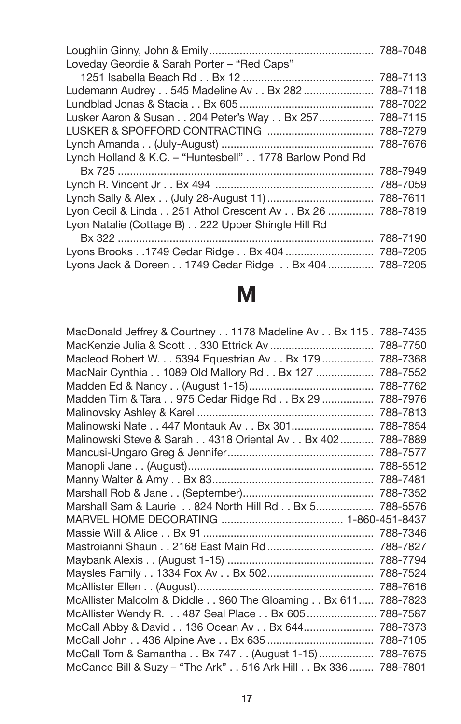| Loveday Geordie & Sarah Porter - "Red Caps"             |          |
|---------------------------------------------------------|----------|
|                                                         | 788-7113 |
| Ludemann Audrey 545 Madeline Av Bx 282                  | 788-7118 |
|                                                         |          |
| Lusker Aaron & Susan 204 Peter's Way Bx 257             | 788-7115 |
|                                                         | 788-7279 |
|                                                         | 788-7676 |
| Lynch Holland & K.C. - "Huntesbell" 1778 Barlow Pond Rd |          |
|                                                         | 788-7949 |
|                                                         | 788-7059 |
|                                                         | 788-7611 |
| Lyon Cecil & Linda 251 Athol Crescent Av Bx 26          | 788-7819 |
| Lyon Natalie (Cottage B) 222 Upper Shingle Hill Rd      |          |
|                                                         | 788-7190 |
|                                                         | 788-7205 |
| Lyons Jack & Doreen 1749 Cedar Ridge Bx 404  788-7205   |          |

# **M**

| MacDonald Jeffrey & Courtney 1178 Madeline Av Bx 115 . 788-7435 |          |
|-----------------------------------------------------------------|----------|
|                                                                 | 788-7750 |
| Macleod Robert W. 5394 Equestrian Av Bx 179                     | 788-7368 |
| MacNair Cynthia 1089 Old Mallory Rd Bx 127                      | 788-7552 |
|                                                                 | 788-7762 |
| Madden Tim & Tara 975 Cedar Ridge Rd Bx 29                      | 788-7976 |
|                                                                 | 788-7813 |
| Malinowski Nate 447 Montauk Av Bx 301                           | 788-7854 |
| Malinowski Steve & Sarah 4318 Oriental Av Bx 402                | 788-7889 |
|                                                                 |          |
|                                                                 |          |
|                                                                 |          |
|                                                                 |          |
| Marshall Sam & Laurie 824 North Hill Rd Bx 5                    | 788-5576 |
|                                                                 |          |
|                                                                 | 788-7346 |
|                                                                 |          |
|                                                                 |          |
|                                                                 | 788-7524 |
|                                                                 | 788-7616 |
| McAllister Malcolm & Diddle 960 The Gloaming Bx 611             | 788-7823 |
| McAllister Wendy R. 487 Seal Place Bx 605  788-7587             |          |
| McCall Abby & David 136 Ocean Av Bx 644                         | 788-7373 |
|                                                                 |          |
| McCall Tom & Samantha Bx 747 (August 1-15)                      | 788-7675 |
| McCance Bill & Suzy - "The Ark" 516 Ark Hill Bx 336  788-7801   |          |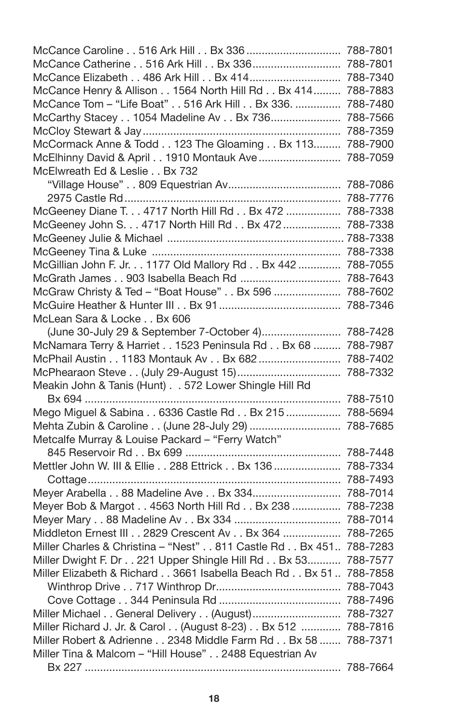| McCance Caroline 516 Ark Hill Bx 336  788-7801               |          |
|--------------------------------------------------------------|----------|
| McCance Catherine 516 Ark Hill Bx 336 788-7801               |          |
| McCance Elizabeth 486 Ark Hill Bx 414 788-7340               |          |
| McCance Henry & Allison 1564 North Hill Rd Bx 414 788-7883   |          |
| McCance Tom - "Life Boat" 516 Ark Hill Bx 336.  788-7480     |          |
| McCarthy Stacey 1054 Madeline Av Bx 736                      | 788-7566 |
|                                                              | 788-7359 |
| McCormack Anne & Todd 123 The Gloaming Bx 113 788-7900       |          |
| McElhinny David & April 1910 Montauk Ave  788-7059           |          |
| McElwreath Ed & Leslie Bx 732                                |          |
|                                                              |          |
|                                                              | 788-7776 |
| McGeeney Diane T. 4717 North Hill Rd Bx 472  788-7338        |          |
| McGeeney John S. 4717 North Hill Rd Bx 472  788-7338         |          |
|                                                              |          |
|                                                              |          |
| McGillian John F. Jr. 1177 Old Mallory Rd Bx 442  788-7055   |          |
| McGrath James 903 Isabella Beach Rd  788-7643                |          |
| McGraw Christy & Ted - "Boat House" Bx 596  788-7602         |          |
|                                                              |          |
| McLean Sara & Locke Bx 606                                   |          |
| (June 30-July 29 & September 7-October 4) 788-7428           |          |
| McNamara Terry & Harriet 1523 Peninsula Rd Bx 68  788-7987   |          |
| McPhail Austin 1183 Montauk Av Bx 682  788-7402              |          |
|                                                              |          |
| Meakin John & Tanis (Hunt) 572 Lower Shingle Hill Rd         |          |
| Bx 694 ………………………………………………………………………… 788-7510                 |          |
| Mego Miguel & Sabina 6336 Castle Rd Bx 215  788-5694         |          |
| Mehta Zubin & Caroline (June 28-July 29)  788-7685           |          |
| Metcalfe Murray & Louise Packard - "Ferry Watch"             |          |
|                                                              |          |
| Mettler John W. III & Ellie 288 Ettrick Bx 136  788-7334     |          |
|                                                              | 788-7493 |
| Meyer Arabella 88 Madeline Ave Bx 334                        | 788-7014 |
| Meyer Bob & Margot 4563 North Hill Rd Bx 238                 | 788-7238 |
|                                                              | 788-7014 |
| Middleton Ernest III 2829 Crescent Av Bx 364                 | 788-7265 |
| Miller Charles & Christina - "Nest" 811 Castle Rd Bx 451     | 788-7283 |
| Miller Dwight F. Dr 221 Upper Shingle Hill Rd Bx 53          | 788-7577 |
| Miller Elizabeth & Richard 3661 Isabella Beach Rd Bx 51      | 788-7858 |
|                                                              | 788-7043 |
|                                                              |          |
| Miller Michael General Delivery (August) 788-7327            |          |
| Miller Richard J. Jr. & Carol (August 8-23) Bx 512  788-7816 |          |
| Miller Robert & Adrienne 2348 Middle Farm Rd Bx 58  788-7371 |          |
| Miller Tina & Malcom - "Hill House" 2488 Equestrian Av       |          |
|                                                              |          |
|                                                              |          |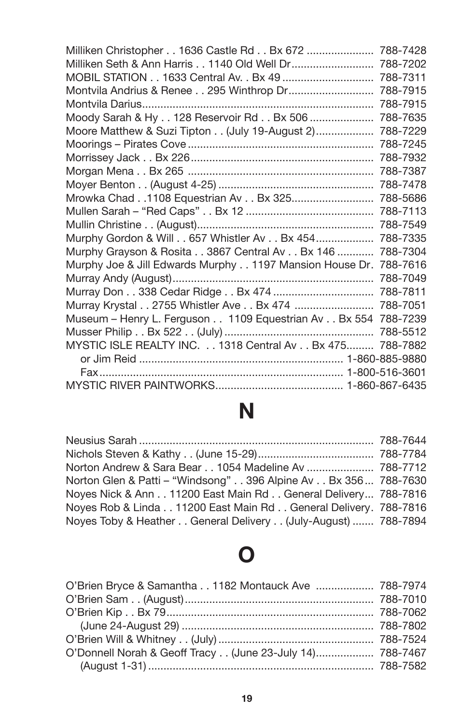| Milliken Christopher 1636 Castle Rd Bx 672                    | 788-7428 |
|---------------------------------------------------------------|----------|
| Milliken Seth & Ann Harris 1140 Old Well Dr                   | 788-7202 |
|                                                               | 788-7311 |
|                                                               | 788-7915 |
|                                                               | 788-7915 |
| Moody Sarah & Hy 128 Reservoir Rd Bx 506                      | 788-7635 |
| Moore Matthew & Suzi Tipton (July 19-August 2)                | 788-7229 |
|                                                               | 788-7245 |
|                                                               | 788-7932 |
|                                                               | 788-7387 |
|                                                               | 788-7478 |
|                                                               | 788-5686 |
|                                                               | 788-7113 |
|                                                               | 788-7549 |
| Murphy Gordon & Will 657 Whistler Av Bx 454                   | 788-7335 |
| Murphy Grayson & Rosita 3867 Central Av Bx 146                | 788-7304 |
| Murphy Joe & Jill Edwards Murphy 1197 Mansion House Dr.       | 788-7616 |
| Murray Andy (August)                                          | 788-7049 |
|                                                               |          |
| Murray Krystal 2755 Whistler Ave Bx 474  788-7051             |          |
| Museum - Henry L. Ferguson 1109 Equestrian Av Bx 554 788-7239 |          |
|                                                               |          |
| MYSTIC ISLE REALTY INC. 1318 Central Av Bx 475 788-7882       |          |
|                                                               |          |
|                                                               |          |
|                                                               |          |

# **N**

| Norton Andrew & Sara Bear 1054 Madeline Av  788-7712           |  |
|----------------------------------------------------------------|--|
| Norton Glen & Patti – "Windsong" 396 Alpine Av Bx 356 788-7630 |  |
| Noyes Nick & Ann 11200 East Main Rd General Delivery 788-7816  |  |
| Noves Rob & Linda11200 East Main Rd General Delivery. 788-7816 |  |
| Noyes Toby & Heather General Delivery (July-August)  788-7894  |  |

### **O**

| O'Brien Bryce & Samantha 1182 Montauck Ave  788-7974     |  |
|----------------------------------------------------------|--|
|                                                          |  |
|                                                          |  |
|                                                          |  |
|                                                          |  |
| O'Donnell Norah & Geoff Tracy (June 23-July 14) 788-7467 |  |
|                                                          |  |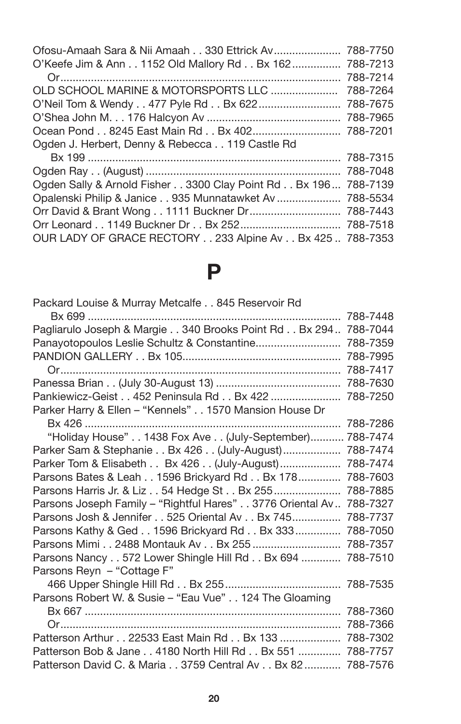| Ofosu-Amaah Sara & Nii Amaah 330 Ettrick Av 788-7750           |
|----------------------------------------------------------------|
| O'Keefe Jim & Ann 1152 Old Mallory Rd Bx 162 788-7213          |
| 788-7214                                                       |
| 788-7264                                                       |
| O'Neil Tom & Wendy 477 Pyle Rd Bx 622 788-7675                 |
|                                                                |
|                                                                |
|                                                                |
|                                                                |
|                                                                |
| Ogden Sally & Arnold Fisher 3300 Clay Point Rd Bx 196 788-7139 |
| Opalenski Philip & Janice 935 Munnatawket Av  788-5534         |
|                                                                |
|                                                                |
| OUR LADY OF GRACE RECTORY 233 Alpine Av Bx 425  788-7353       |
|                                                                |

## **P**

| Packard Louise & Murray Metcalfe 845 Reservoir Rd              |          |
|----------------------------------------------------------------|----------|
|                                                                | 788-7448 |
| Pagliarulo Joseph & Margie 340 Brooks Point Rd Bx 294 788-7044 |          |
| Panayotopoulos Leslie Schultz & Constantine                    | 788-7359 |
|                                                                | 788-7995 |
|                                                                | 788-7417 |
|                                                                | 788-7630 |
| Pankiewicz-Geist 452 Peninsula Rd Bx 422                       | 788-7250 |
| Parker Harry & Ellen - "Kennels" 1570 Mansion House Dr         |          |
|                                                                | 788-7286 |
| "Holiday House" 1438 Fox Ave (July-September)                  | 788-7474 |
| Parker Sam & Stephanie Bx 426 (July-August)                    | 788-7474 |
| Parker Tom & Elisabeth Bx 426 (July-August)                    | 788-7474 |
| Parsons Bates & Leah 1596 Brickyard Rd Bx 178                  | 788-7603 |
| Parsons Harris Jr. & Liz 54 Hedge St Bx 255                    | 788-7885 |
| Parsons Joseph Family - "Rightful Hares" 3776 Oriental Av      | 788-7327 |
| Parsons Josh & Jennifer 525 Oriental Av Bx 745                 | 788-7737 |
| Parsons Kathy & Ged 1596 Brickyard Rd Bx 333                   | 788-7050 |
| Parsons Mimi 2488 Montauk Av Bx 255                            | 788-7357 |
| Parsons Nancy 572 Lower Shingle Hill Rd Bx 694                 | 788-7510 |
| Parsons Reyn - "Cottage F"                                     |          |
|                                                                | 788-7535 |
| Parsons Robert W. & Susie - "Eau Vue" 124 The Gloaming         |          |
|                                                                | 788-7360 |
|                                                                | 788-7366 |
| Patterson Arthur 22533 East Main Rd Bx 133                     | 788-7302 |
| Patterson Bob & Jane 4180 North Hill Rd Bx 551                 | 788-7757 |
| Patterson David C. & Maria 3759 Central Av Bx 82               | 788-7576 |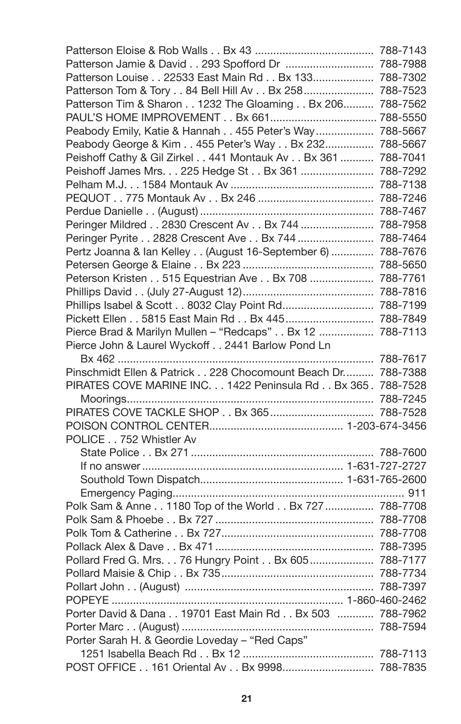| Patterson Jamie & David 293 Spofford Dr  788-7988           |  |
|-------------------------------------------------------------|--|
| Patterson Louise 22533 East Main Rd Bx 133 788-7302         |  |
| Patterson Tom & Tory 84 Bell Hill Av Bx 258 788-7523        |  |
| Patterson Tim & Sharon 1232 The Gloaming Bx 206 788-7562    |  |
| PAUL'S HOME IMPROVEMENT Bx 661 788-5550                     |  |
| Peabody Emily, Katie & Hannah 455 Peter's Way  788-5667     |  |
| Peabody George & Kim 455 Peter's Way Bx 232 788-5667        |  |
| Peishoff Cathy & Gil Zirkel 441 Montauk Av Bx 361  788-7041 |  |
| Peishoff James Mrs. 225 Hedge St Bx 361  788-7292           |  |
|                                                             |  |
|                                                             |  |
|                                                             |  |
| Peringer Mildred 2830 Crescent Av Bx 744  788-7958          |  |
| Peringer Pyrite 2828 Crescent Ave Bx 744  788-7464          |  |
| Pertz Joanna & Ian Kelley (August 16-September 6)  788-7676 |  |
|                                                             |  |
| Peterson Kristen 515 Equestrian Ave Bx 708  788-7761        |  |
|                                                             |  |
| Phillips Isabel & Scott 8032 Clay Point Rd 788-7199         |  |
| Pickett Ellen 5815 East Main Rd Bx 445 788-7849             |  |
| Pierce Brad & Marilyn Mullen - "Redcaps" Bx 12  788-7113    |  |
| Pierce John & Laurel Wyckoff 2441 Barlow Pond Ln            |  |
|                                                             |  |
| Pinschmidt Ellen & Patrick 228 Chocomount Beach Dr 788-7388 |  |
| PIRATES COVE MARINE INC. 1422 Peninsula Rd Bx 365. 788-7528 |  |
|                                                             |  |
|                                                             |  |
|                                                             |  |
| POLICE 752 Whistler Av                                      |  |
|                                                             |  |
|                                                             |  |
|                                                             |  |
|                                                             |  |
| Polk Sam & Anne 1180 Top of the World Bx 727  788-7708      |  |
|                                                             |  |
|                                                             |  |
|                                                             |  |
| Pollard Fred G. Mrs. 76 Hungry Point Bx 605  788-7177       |  |
|                                                             |  |
|                                                             |  |
|                                                             |  |
| Porter David & Dana 19701 East Main Rd Bx 503  788-7962     |  |
|                                                             |  |
| Porter Sarah H. & Geordie Loveday - "Red Caps"              |  |
|                                                             |  |
| POST OFFICE 161 Oriental Av Bx 9998 788-7835                |  |
|                                                             |  |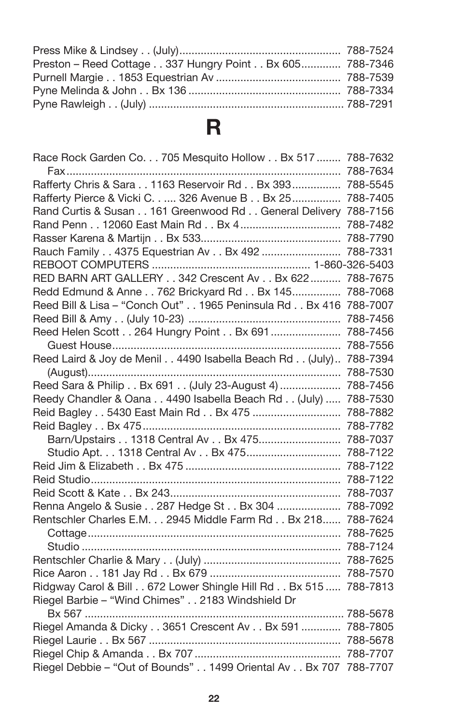| Preston - Reed Cottage 337 Hungry Point Bx 605 788-7346 |  |
|---------------------------------------------------------|--|
|                                                         |  |
|                                                         |  |
|                                                         |  |

## **R**

| Race Rock Garden Co. 705 Mesquito Hollow Bx 517  788-7632        |          |
|------------------------------------------------------------------|----------|
|                                                                  |          |
| Rafferty Chris & Sara 1163 Reservoir Rd Bx 393 788-5545          |          |
| Rafferty Pierce & Vicki C 326 Avenue B Bx 25                     | 788-7405 |
| Rand Curtis & Susan 161 Greenwood Rd General Delivery 788-7156   |          |
|                                                                  | 788-7482 |
|                                                                  | 788-7790 |
| Rauch Family 4375 Equestrian Av Bx 492                           | 788-7331 |
|                                                                  |          |
| RED BARN ART GALLERY 342 Crescent Av Bx 622                      | 788-7675 |
| Redd Edmund & Anne 762 Brickyard Rd Bx 145                       | 788-7068 |
| Reed Bill & Lisa - "Conch Out" 1965 Peninsula Rd Bx 416          | 788-7007 |
|                                                                  | 788-7456 |
| Reed Helen Scott 264 Hungry Point Bx 691                         | 788-7456 |
|                                                                  | 788-7556 |
| Reed Laird & Joy de Menil 4490 Isabella Beach Rd (July) 788-7394 |          |
|                                                                  | 788-7530 |
| Reed Sara & Philip Bx 691 (July 23-August 4)                     | 788-7456 |
| Reedy Chandler & Oana 4490 Isabella Beach Rd (July)              | 788-7530 |
| Reid Bagley 5430 East Main Rd Bx 475                             | 788-7882 |
|                                                                  | 788-7782 |
| Barn/Upstairs 1318 Central Av Bx 475                             | 788-7037 |
| Studio Apt. 1318 Central Av Bx 475                               | 788-7122 |
|                                                                  | 788-7122 |
|                                                                  | 788-7122 |
|                                                                  | 788-7037 |
| Renna Angelo & Susie 287 Hedge St Bx 304                         | 788-7092 |
| Rentschler Charles E.M. 2945 Middle Farm Rd Bx 218               | 788-7624 |
|                                                                  | 788-7625 |
|                                                                  | 788-7124 |
|                                                                  | 788-7625 |
|                                                                  | 788-7570 |
| Ridgway Carol & Bill 672 Lower Shingle Hill Rd Bx 515            | 788-7813 |
| Riegel Barbie - "Wind Chimes" 2183 Windshield Dr                 |          |
|                                                                  |          |
| Riegel Amanda & Dicky 3651 Crescent Av Bx 591  788-7805          |          |
|                                                                  |          |
|                                                                  |          |
| Riegel Debbie - "Out of Bounds" 1499 Oriental Av Bx 707 788-7707 |          |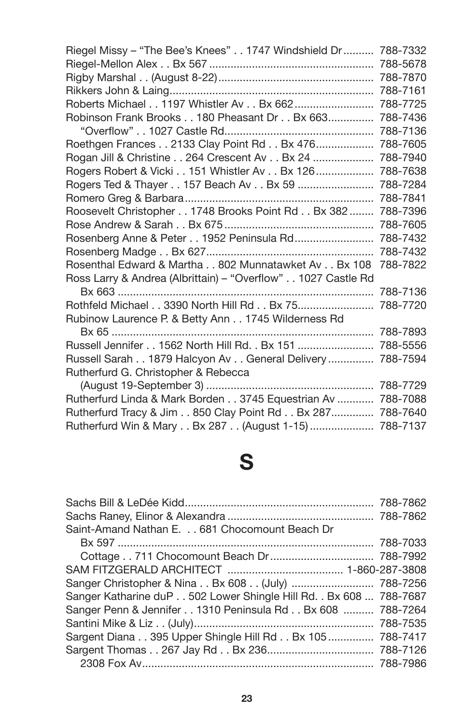| Riegel Missy - "The Bee's Knees" 1747 Windshield Dr          | 788-7332 |
|--------------------------------------------------------------|----------|
|                                                              | 788-5678 |
|                                                              | 788-7870 |
|                                                              | 788-7161 |
| Roberts Michael 1197 Whistler Av Bx 662                      | 788-7725 |
| Robinson Frank Brooks 180 Pheasant Dr Bx 663                 | 788-7436 |
|                                                              | 788-7136 |
| Roethgen Frances 2133 Clay Point Rd Bx 476                   | 788-7605 |
| Rogan Jill & Christine 264 Crescent Av Bx 24                 | 788-7940 |
| Rogers Robert & Vicki 151 Whistler Av Bx 126                 | 788-7638 |
| Rogers Ted & Thayer 157 Beach Av Bx 59                       | 788-7284 |
|                                                              | 788-7841 |
| Roosevelt Christopher 1748 Brooks Point Rd Bx 382            | 788-7396 |
|                                                              | 788-7605 |
| Rosenberg Anne & Peter 1952 Peninsula Rd                     | 788-7432 |
|                                                              | 788-7432 |
| Rosenthal Edward & Martha 802 Munnatawket Av Bx 108          | 788-7822 |
| Ross Larry & Andrea (Albrittain) - "Overflow" 1027 Castle Rd |          |
|                                                              | 788-7136 |
| Rothfeld Michael 3390 North Hill Rd Bx 75                    | 788-7720 |
| Rubinow Laurence P. & Betty Ann 1745 Wilderness Rd           |          |
|                                                              | 788-7893 |
| Russell Jennifer 1562 North Hill Rd. . Bx 151                | 788-5556 |
| Russell Sarah 1879 Halcyon Av General Delivery               | 788-7594 |
| Rutherfurd G. Christopher & Rebecca                          |          |
|                                                              |          |
| Rutherfurd Linda & Mark Borden 3745 Equestrian Av            | 788-7088 |
| Rutherfurd Tracy & Jim 850 Clay Point Rd Bx 287 788-7640     |          |
| Rutherfurd Win & Mary Bx 287 (August 1-15)  788-7137         |          |

## **S**

| Sanger Christopher & Nina Bx 608 (July)  788-7256                  |
|--------------------------------------------------------------------|
| Sanger Katharine duP 502 Lower Shingle Hill Rd. . Bx 608  788-7687 |
| Sanger Penn & Jennifer 1310 Peninsula Rd Bx 608  788-7264          |
|                                                                    |
| Sargent Diana 395 Upper Shingle Hill Rd Bx 105  788-7417           |
|                                                                    |
|                                                                    |
|                                                                    |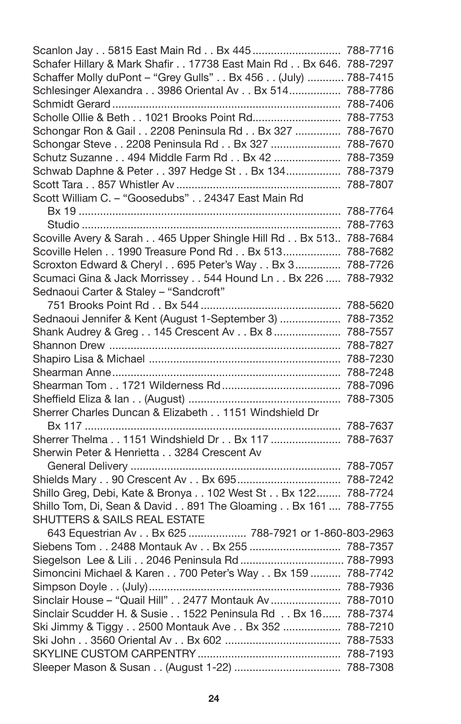| Scanlon Jay 5815 East Main Rd Bx 445  788-7716                    |  |
|-------------------------------------------------------------------|--|
| Schafer Hillary & Mark Shafir 17738 East Main Rd Bx 646. 788-7297 |  |
| Schaffer Molly duPont - "Grey Gulls" Bx 456 (July)  788-7415      |  |
| Schlesinger Alexandra 3986 Oriental Av Bx 514 788-7786            |  |
|                                                                   |  |
| Scholle Ollie & Beth 1021 Brooks Point Rd 788-7753                |  |
| Schongar Ron & Gail 2208 Peninsula Rd Bx 327  788-7670            |  |
| Schongar Steve 2208 Peninsula Rd Bx 327  788-7670                 |  |
| Schutz Suzanne 494 Middle Farm Rd Bx 42  788-7359                 |  |
| Schwab Daphne & Peter 397 Hedge St Bx 134 788-7379                |  |
|                                                                   |  |
| Scott William C. - "Goosedubs" 24347 East Main Rd                 |  |
|                                                                   |  |
|                                                                   |  |
| Scoville Avery & Sarah 465 Upper Shingle Hill Rd Bx 513 788-7684  |  |
| Scoville Helen 1990 Treasure Pond Rd Bx 513 788-7682              |  |
| Scroxton Edward & Cheryl 695 Peter's Way Bx 3 788-7726            |  |
| Scumaci Gina & Jack Morrissey 544 Hound Ln Bx 226  788-7932       |  |
| Sednaoui Carter & Staley - "Sandcroft"                            |  |
|                                                                   |  |
| Sednaoui Jennifer & Kent (August 1-September 3)  788-7352         |  |
| Shank Audrey & Greg 145 Crescent Av Bx 8  788-7557                |  |
|                                                                   |  |
|                                                                   |  |
|                                                                   |  |
|                                                                   |  |
|                                                                   |  |
| Sherrer Charles Duncan & Elizabeth 1151 Windshield Dr             |  |
|                                                                   |  |
| Sherrer Thelma 1151 Windshield Dr Bx 117  788-7637                |  |
| Sherwin Peter & Henrietta 3284 Crescent Av                        |  |
|                                                                   |  |
|                                                                   |  |
| Shillo Greg, Debi, Kate & Bronya 102 West St Bx 122 788-7724      |  |
| Shillo Tom, Di, Sean & David 891 The Gloaming Bx 161  788-7755    |  |
| SHUTTERS & SAILS REAL ESTATE                                      |  |
| 643 Equestrian Av Bx 625  788-7921 or 1-860-803-2963              |  |
| Siebens Tom 2488 Montauk Av Bx 255  788-7357                      |  |
|                                                                   |  |
| Simoncini Michael & Karen 700 Peter's Way Bx 159  788-7742        |  |
|                                                                   |  |
| Sinclair House - "Quail Hill" 2477 Montauk Av  788-7010           |  |
| Sinclair Scudder H. & Susie 1522 Peninsula Rd Bx 16 788-7374      |  |
| Ski Jimmy & Tiggy 2500 Montauk Ave Bx 352  788-7210               |  |
|                                                                   |  |
|                                                                   |  |
|                                                                   |  |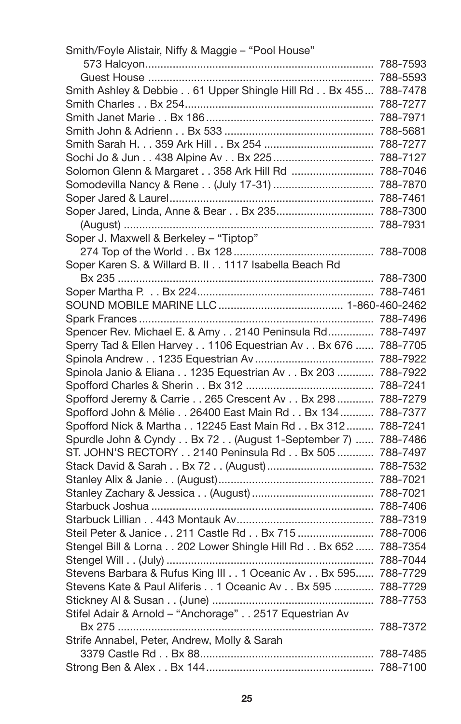| Smith/Foyle Alistair, Niffy & Maggie - "Pool House"             |  |
|-----------------------------------------------------------------|--|
|                                                                 |  |
|                                                                 |  |
| Smith Ashley & Debbie 61 Upper Shingle Hill Rd Bx 455 788-7478  |  |
|                                                                 |  |
|                                                                 |  |
|                                                                 |  |
|                                                                 |  |
| Sochi Jo & Jun 438 Alpine Av Bx 225  788-7127                   |  |
| Solomon Glenn & Margaret 358 Ark Hill Rd  788-7046              |  |
|                                                                 |  |
|                                                                 |  |
| Soper Jared, Linda, Anne & Bear Bx 235 788-7300                 |  |
|                                                                 |  |
| Soper J. Maxwell & Berkeley - "Tiptop"                          |  |
|                                                                 |  |
| Soper Karen S. & Willard B. II 1117 Isabella Beach Rd           |  |
|                                                                 |  |
|                                                                 |  |
|                                                                 |  |
|                                                                 |  |
| Spencer Rev. Michael E. & Amy 2140 Peninsula Rd 788-7497        |  |
| Sperry Tad & Ellen Harvey 1106 Equestrian Av Bx 676  788-7705   |  |
|                                                                 |  |
| Spinola Janio & Eliana 1235 Equestrian Av Bx 203  788-7922      |  |
|                                                                 |  |
| Spofford Jeremy & Carrie 265 Crescent Av Bx 298  788-7279       |  |
| Spofford John & Mélie 26400 East Main Rd Bx 134  788-7377       |  |
| Spofford Nick & Martha 12245 East Main Rd Bx 312  788-7241      |  |
| Spurdle John & Cyndy Bx 72 (August 1-September 7)  788-7486     |  |
| ST. JOHN'S RECTORY 2140 Peninsula Rd Bx 505  788-7497           |  |
|                                                                 |  |
|                                                                 |  |
|                                                                 |  |
|                                                                 |  |
|                                                                 |  |
| Steil Peter & Janice 211 Castle Rd Bx 715  788-7006             |  |
| Stengel Bill & Lorna 202 Lower Shingle Hill Rd Bx 652  788-7354 |  |
|                                                                 |  |
| Stevens Barbara & Rufus King III 1 Oceanic Av Bx 595 788-7729   |  |
| Stevens Kate & Paul Aliferis 1 Oceanic Av Bx 595  788-7729      |  |
|                                                                 |  |
| Stifel Adair & Arnold - "Anchorage" 2517 Equestrian Av          |  |
|                                                                 |  |
| Strife Annabel, Peter, Andrew, Molly & Sarah                    |  |
|                                                                 |  |
|                                                                 |  |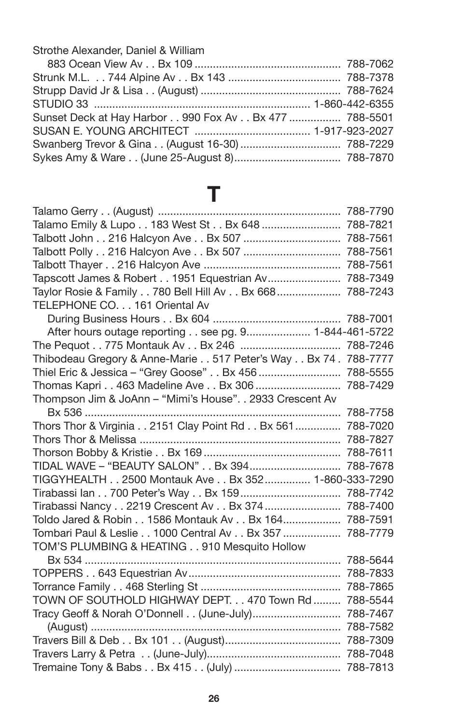Strothe Alexander, Daniel & William

| Sunset Deck at Hay Harbor 990 Fox Av Bx 477  788-5501 |  |
|-------------------------------------------------------|--|
|                                                       |  |
|                                                       |  |
|                                                       |  |

### **T**

| Talamo Emily & Lupo 183 West St Bx 648  788-7821                |          |
|-----------------------------------------------------------------|----------|
| Talbott John 216 Halcyon Ave Bx 507  788-7561                   |          |
| Talbott Polly 216 Halcyon Ave Bx 507  788-7561                  |          |
|                                                                 |          |
| Tapscott James & Robert 1951 Equestrian Av 788-7349             |          |
| Taylor Rosie & Family 780 Bell Hill Av Bx 668  788-7243         |          |
| TELEPHONE CO. 161 Oriental Av                                   |          |
|                                                                 |          |
| After hours outage reporting see pg. 9 1-844-461-5722           |          |
| The Pequot 775 Montauk Av Bx 246  788-7246                      |          |
| Thibodeau Gregory & Anne-Marie 517 Peter's Way Bx 74 . 788-7777 |          |
| Thiel Eric & Jessica - "Grey Goose" Bx 456  788-5555            |          |
| Thomas Kapri 463 Madeline Ave Bx 306  788-7429                  |          |
| Thompson Jim & JoAnn - "Mimi's House". . 2933 Crescent Av       |          |
|                                                                 |          |
| Thors Thor & Virginia 2151 Clay Point Rd Bx 561  788-7020       |          |
|                                                                 |          |
|                                                                 | 788-7611 |
| TIDAL WAVE - "BEAUTY SALON" Bx 394                              | 788-7678 |
| TIGGYHEALTH 2500 Montauk Ave Bx 352 1-860-333-7290              |          |
| Tirabassi lan 700 Peter's Way Bx 159 788-7742                   |          |
| Tirabassi Nancy 2219 Crescent Av Bx 374  788-7400               |          |
| Toldo Jared & Robin 1586 Montauk Av Bx 164 788-7591             |          |
| Tombari Paul & Leslie 1000 Central Av Bx 357  788-7779          |          |
| TOM'S PLUMBING & HEATING 910 Mesquito Hollow                    |          |
|                                                                 | 788-5644 |
|                                                                 |          |
|                                                                 |          |
| TOWN OF SOUTHOLD HIGHWAY DEPT. 470 Town Rd  788-5544            |          |
| Tracy Geoff & Norah O'Donnell (June-July) 788-7467              |          |
|                                                                 |          |
|                                                                 |          |
|                                                                 |          |
|                                                                 |          |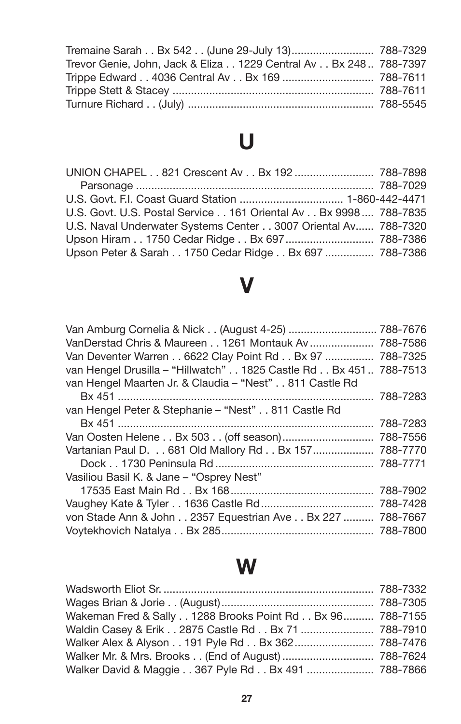| Tremaine Sarah Bx 542 (June 29-July 13) 788-7329                 |  |
|------------------------------------------------------------------|--|
| Trevor Genie, John, Jack & Eliza 1229 Central Av Bx 248 788-7397 |  |
|                                                                  |  |
|                                                                  |  |
|                                                                  |  |

# **U**

| UNION CHAPEL 821 Crescent Av Bx 192  788-7898                   |  |
|-----------------------------------------------------------------|--|
|                                                                 |  |
|                                                                 |  |
| U.S. Govt, U.S. Postal Service 161 Oriental Av Bx 9998 788-7835 |  |
| U.S. Naval Underwater Systems Center 3007 Oriental Av 788-7320  |  |
|                                                                 |  |
| Upson Peter & Sarah 1750 Cedar Ridge Bx 697  788-7386           |  |

### **V**

| Van Amburg Cornelia & Nick (August 4-25)  788-7676                |          |
|-------------------------------------------------------------------|----------|
| VanDerstad Chris & Maureen 1261 Montauk Av  788-7586              |          |
| Van Deventer Warren 6622 Clay Point Rd Bx 97  788-7325            |          |
| van Hengel Drusilla - "Hillwatch" 1825 Castle Rd Bx 451  788-7513 |          |
| van Hengel Maarten Jr. & Claudia – "Nest" 811 Castle Rd           |          |
|                                                                   |          |
| van Hengel Peter & Stephanie – "Nest" 811 Castle Rd               |          |
|                                                                   | 788-7283 |
|                                                                   |          |
| Vartanian Paul D. 681 Old Mallory Rd Bx 157                       | 788-7770 |
|                                                                   |          |
| Vasiliou Basil K. & Jane - "Osprey Nest"                          |          |
|                                                                   | 788-7902 |
|                                                                   |          |
| von Stade Ann & John 2357 Equestrian Ave Bx 227  788-7667         |          |
|                                                                   |          |

### **W**

| Wakeman Fred & Sally 1288 Brooks Point Rd Bx 96 788-7155 |  |
|----------------------------------------------------------|--|
| Waldin Casey & Erik 2875 Castle Rd Bx 71  788-7910       |  |
| Walker Alex & Alyson 191 Pyle Rd Bx 362  788-7476        |  |
|                                                          |  |
| Walker David & Maggie 367 Pyle Rd Bx 491  788-7866       |  |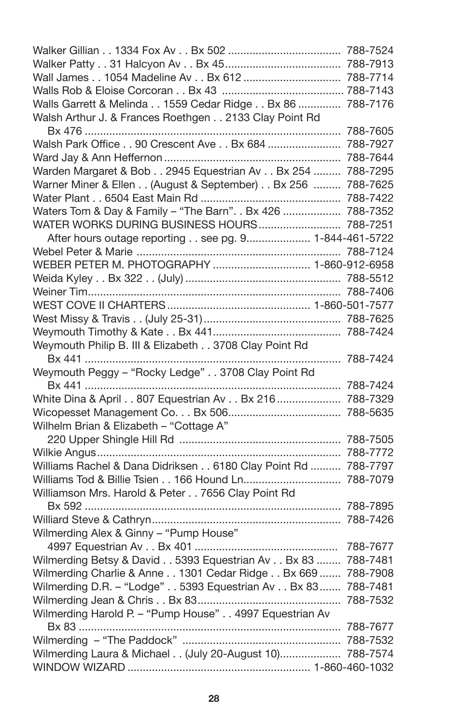| Wall James 1054 Madeline Av Bx 612  788-7714                                                           |          |
|--------------------------------------------------------------------------------------------------------|----------|
|                                                                                                        |          |
| Walls Garrett & Melinda 1559 Cedar Ridge Bx 86  788-7176                                               |          |
| Walsh Arthur J. & Frances Roethgen 2133 Clay Point Rd                                                  |          |
|                                                                                                        |          |
| Walsh Park Office 90 Crescent Ave Bx 684  788-7927                                                     |          |
|                                                                                                        |          |
| Warden Margaret & Bob 2945 Equestrian Av Bx 254  788-7295                                              |          |
| Warner Miner & Ellen (August & September) Bx 256  788-7625                                             |          |
|                                                                                                        |          |
| Waters Tom & Day & Family - "The Barn". . Bx 426  788-7352                                             |          |
| WATER WORKS DURING BUSINESS HOURS 788-7251                                                             |          |
| After hours outage reporting see pg. 9 1-844-461-5722                                                  |          |
|                                                                                                        |          |
| WEBER PETER M. PHOTOGRAPHY  1-860-912-6958                                                             |          |
|                                                                                                        |          |
|                                                                                                        |          |
|                                                                                                        |          |
|                                                                                                        |          |
|                                                                                                        |          |
| Weymouth Philip B. III & Elizabeth 3708 Clay Point Rd                                                  |          |
|                                                                                                        |          |
| Weymouth Peggy - "Rocky Ledge" 3708 Clay Point Rd                                                      |          |
|                                                                                                        |          |
| White Dina & April 807 Equestrian Av Bx 216  788-7329                                                  |          |
|                                                                                                        |          |
| Wilhelm Brian & Elizabeth - "Cottage A"                                                                |          |
|                                                                                                        |          |
|                                                                                                        |          |
| Williams Rachel & Dana Didriksen 6180 Clay Point Rd  788-7797                                          |          |
|                                                                                                        |          |
| Williamson Mrs. Harold & Peter 7656 Clay Point Rd                                                      |          |
|                                                                                                        |          |
|                                                                                                        |          |
| Wilmerding Alex & Ginny - "Pump House"                                                                 |          |
|                                                                                                        | 788-7677 |
| Wilmerding Betsy & David 5393 Equestrian Av Bx 83  788-7481                                            |          |
|                                                                                                        |          |
|                                                                                                        |          |
| Wilmerding Charlie & Anne 1301 Cedar Ridge Bx 669  788-7908                                            | 788-7481 |
| Wilmerding D.R. - "Lodge" 5393 Equestrian Av Bx 83                                                     |          |
|                                                                                                        |          |
| Wilmerding Harold P. - "Pump House" 4997 Equestrian Av<br>Bx 83 …………………………………………………………………………… 788-7677 |          |
|                                                                                                        |          |
| Wilmerding Laura & Michael (July 20-August 10) 788-7574                                                |          |